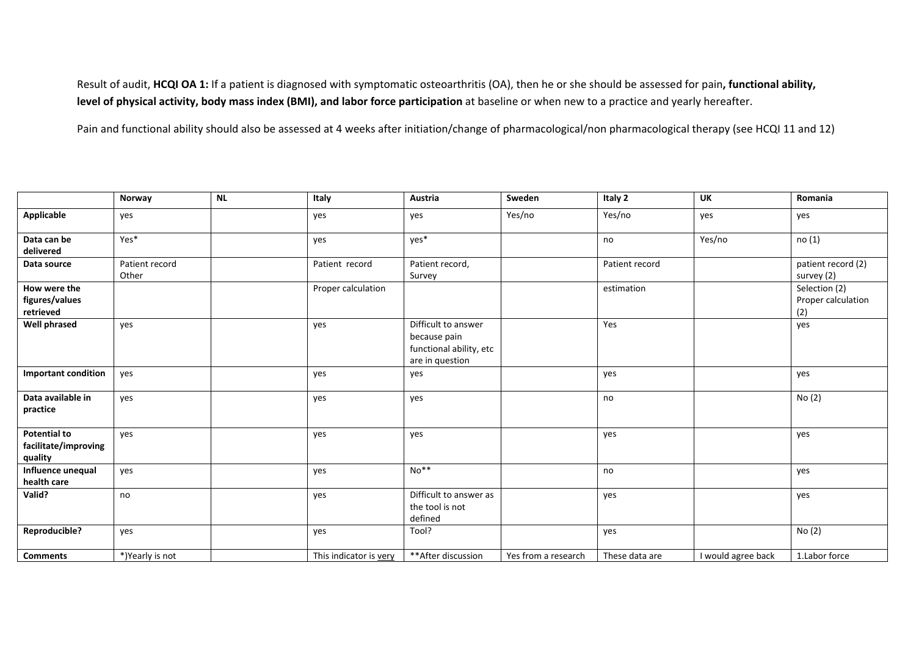Result of audit, **HCQI OA 1:** If <sup>a</sup> patient is diagnosed with symptomatic osteoarthritis (OA), then he or she should be assessed for pain**, functional ability, level of physical activity, body mass index (BMI), and labor force participation** at baseline or when new to <sup>a</sup> practice and yearly hereafter.

Pain and functional ability should also be assessed at 4 weeks after initiation/change of pharmacological/non pharmacological therapy (see HCQI 11 and 12)

|                                                        | Norway                  | NL | Italy                  | Austria                                                                           | Sweden              | Italy 2        | UK                 | Romania                                    |
|--------------------------------------------------------|-------------------------|----|------------------------|-----------------------------------------------------------------------------------|---------------------|----------------|--------------------|--------------------------------------------|
| Applicable                                             | yes                     |    | yes                    | yes                                                                               | Yes/no              | Yes/no         | yes                | yes                                        |
| Data can be<br>delivered                               | Yes*                    |    | yes                    | yes*                                                                              |                     | no             | Yes/no             | no (1)                                     |
| Data source                                            | Patient record<br>Other |    | Patient record         | Patient record,<br>Survey                                                         |                     | Patient record |                    | patient record (2)<br>survey (2)           |
| How were the<br>figures/values<br>retrieved            |                         |    | Proper calculation     |                                                                                   |                     | estimation     |                    | Selection (2)<br>Proper calculation<br>(2) |
| <b>Well phrased</b>                                    | yes                     |    | yes                    | Difficult to answer<br>because pain<br>functional ability, etc<br>are in question |                     | Yes            |                    | yes                                        |
| <b>Important condition</b>                             | yes                     |    | yes                    | yes                                                                               |                     | yes            |                    | yes                                        |
| Data available in<br>practice                          | yes                     |    | yes                    | yes                                                                               |                     | no             |                    | No(2)                                      |
| <b>Potential to</b><br>facilitate/improving<br>quality | yes                     |    | yes                    | yes                                                                               |                     | yes            |                    | yes                                        |
| Influence unequal<br>health care                       | yes                     |    | yes                    | $No**$                                                                            |                     | no             |                    | yes                                        |
| Valid?                                                 | no                      |    | yes                    | Difficult to answer as<br>the tool is not<br>defined                              |                     | yes            |                    | yes                                        |
| Reproducible?                                          | yes                     |    | yes                    | Tool?                                                                             |                     | yes            |                    | No(2)                                      |
| <b>Comments</b>                                        | *)Yearly is not         |    | This indicator is very | ** After discussion                                                               | Yes from a research | These data are | I would agree back | 1.Labor force                              |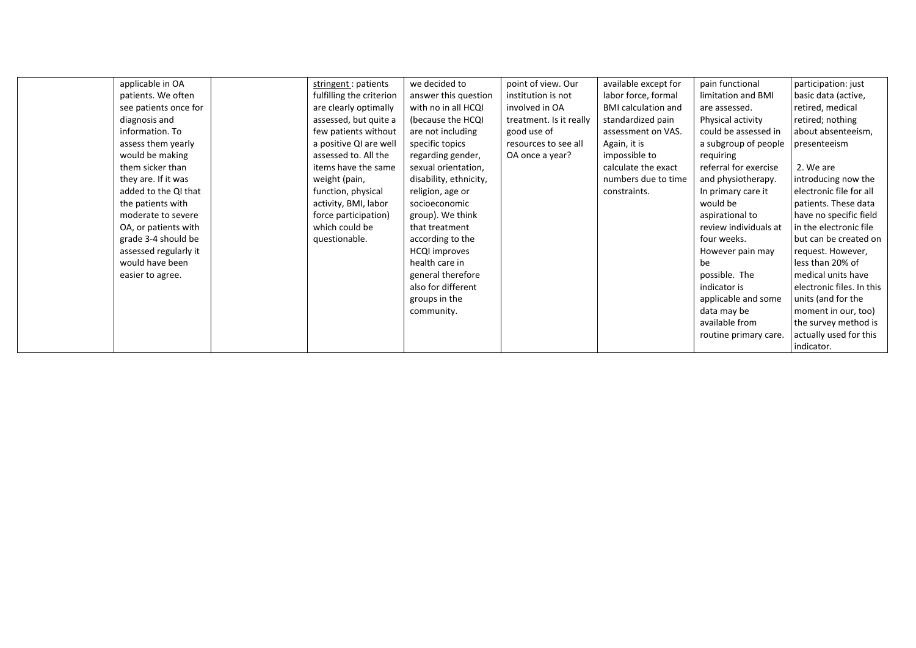| applicable in OA      | stringent : patients     | we decided to          | point of view. Our      | available except for       | pain functional       | participation: just       |
|-----------------------|--------------------------|------------------------|-------------------------|----------------------------|-----------------------|---------------------------|
| patients. We often    | fulfilling the criterion | answer this question   | institution is not      | labor force, formal        | limitation and BMI    | basic data (active,       |
| see patients once for | are clearly optimally    | with no in all HCQI    | involved in OA          | <b>BMI</b> calculation and | are assessed.         | retired, medical          |
|                       |                          |                        |                         |                            |                       |                           |
| diagnosis and         | assessed, but quite a    | (because the HCQI      | treatment. Is it really | standardized pain          | Physical activity     | retired; nothing          |
| information. To       | few patients without     | are not including      | good use of             | assessment on VAS.         | could be assessed in  | about absenteeism,        |
| assess them yearly    | a positive QI are well   | specific topics        | resources to see all    | Again, it is               | a subgroup of people  | presenteeism              |
| would be making       | assessed to. All the     | regarding gender,      | OA once a year?         | impossible to              | requiring             |                           |
| them sicker than      | items have the same      | sexual orientation,    |                         | calculate the exact        | referral for exercise | 2. We are                 |
| they are. If it was   | weight (pain,            | disability, ethnicity, |                         | numbers due to time        | and physiotherapy.    | introducing now the       |
| added to the QI that  | function, physical       | religion, age or       |                         | constraints.               | In primary care it    | electronic file for all   |
| the patients with     | activity, BMI, labor     | socioeconomic          |                         |                            | would be              | patients. These data      |
| moderate to severe    | force participation)     | group). We think       |                         |                            | aspirational to       | have no specific field    |
| OA, or patients with  | which could be           | that treatment         |                         |                            | review individuals at | in the electronic file    |
| grade 3-4 should be   | questionable.            | according to the       |                         |                            | four weeks.           | but can be created on     |
| assessed regularly it |                          | <b>HCQI</b> improves   |                         |                            | However pain may      | request. However,         |
| would have been       |                          | health care in         |                         |                            | be                    | less than 20% of          |
| easier to agree.      |                          | general therefore      |                         |                            | possible. The         | medical units have        |
|                       |                          | also for different     |                         |                            | indicator is          | electronic files. In this |
|                       |                          | groups in the          |                         |                            | applicable and some   | units (and for the        |
|                       |                          | community.             |                         |                            | data may be           | moment in our, too)       |
|                       |                          |                        |                         |                            | available from        | the survey method is      |
|                       |                          |                        |                         |                            | routine primary care. | actually used for this    |
|                       |                          |                        |                         |                            |                       | indicator.                |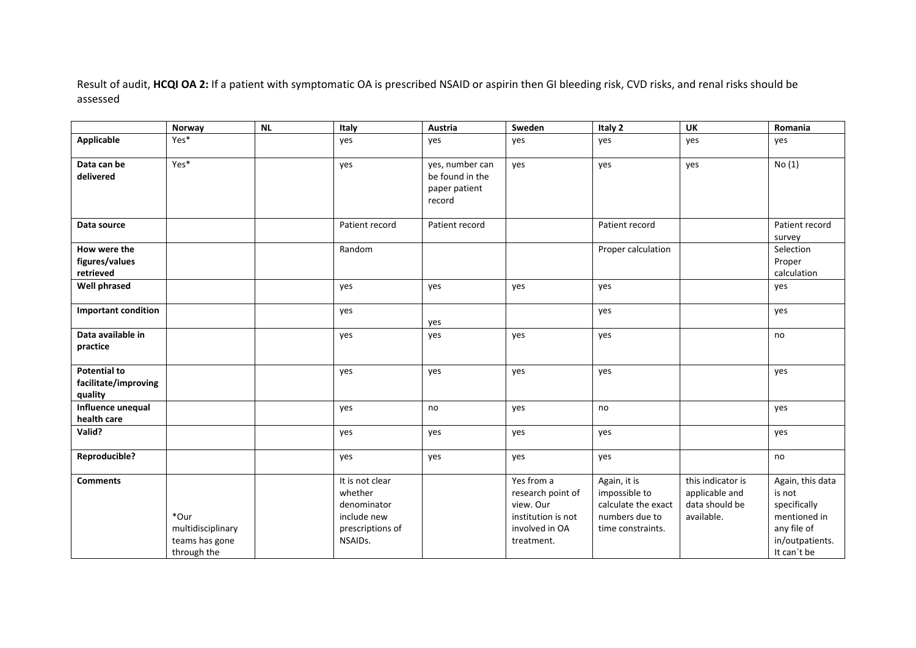Result of audit, **HCQI OA 2:** If <sup>a</sup> patient with symptomatic OA is prescribed NSAID or aspirin then GI bleeding risk, CVD risks, and renal risks should be assessed

|                                                        | Norway                                                     | <b>NL</b> | Italy                                                                                   | Austria                                                       | Sweden                                                                                             | Italy 2                                                                                     | <b>UK</b>                                                           | Romania                                                                                                     |
|--------------------------------------------------------|------------------------------------------------------------|-----------|-----------------------------------------------------------------------------------------|---------------------------------------------------------------|----------------------------------------------------------------------------------------------------|---------------------------------------------------------------------------------------------|---------------------------------------------------------------------|-------------------------------------------------------------------------------------------------------------|
| Applicable                                             | Yes*                                                       |           | yes                                                                                     | yes                                                           | yes                                                                                                | yes                                                                                         | yes                                                                 | yes                                                                                                         |
| Data can be<br>delivered                               | Yes*                                                       |           | yes                                                                                     | yes, number can<br>be found in the<br>paper patient<br>record | yes                                                                                                | yes                                                                                         | yes                                                                 | No(1)                                                                                                       |
| Data source                                            |                                                            |           | Patient record                                                                          | Patient record                                                |                                                                                                    | Patient record                                                                              |                                                                     | Patient record<br>survey                                                                                    |
| How were the<br>figures/values<br>retrieved            |                                                            |           | Random                                                                                  |                                                               |                                                                                                    | Proper calculation                                                                          |                                                                     | Selection<br>Proper<br>calculation                                                                          |
| <b>Well phrased</b>                                    |                                                            |           | yes                                                                                     | yes                                                           | yes                                                                                                | yes                                                                                         |                                                                     | yes                                                                                                         |
| <b>Important condition</b>                             |                                                            |           | yes                                                                                     | yes                                                           |                                                                                                    | yes                                                                                         |                                                                     | yes                                                                                                         |
| Data available in<br>practice                          |                                                            |           | yes                                                                                     | yes                                                           | yes                                                                                                | yes                                                                                         |                                                                     | no                                                                                                          |
| <b>Potential to</b><br>facilitate/improving<br>quality |                                                            |           | yes                                                                                     | yes                                                           | yes                                                                                                | yes                                                                                         |                                                                     | yes                                                                                                         |
| Influence unequal<br>health care                       |                                                            |           | yes                                                                                     | no                                                            | yes                                                                                                | no                                                                                          |                                                                     | yes                                                                                                         |
| Valid?                                                 |                                                            |           | yes                                                                                     | yes                                                           | yes                                                                                                | yes                                                                                         |                                                                     | yes                                                                                                         |
| Reproducible?                                          |                                                            |           | yes                                                                                     | yes                                                           | yes                                                                                                | yes                                                                                         |                                                                     | no                                                                                                          |
| <b>Comments</b>                                        | *Our<br>multidisciplinary<br>teams has gone<br>through the |           | It is not clear<br>whether<br>denominator<br>include new<br>prescriptions of<br>NSAIDs. |                                                               | Yes from a<br>research point of<br>view. Our<br>institution is not<br>involved in OA<br>treatment. | Again, it is<br>impossible to<br>calculate the exact<br>numbers due to<br>time constraints. | this indicator is<br>applicable and<br>data should be<br>available. | Again, this data<br>is not<br>specifically<br>mentioned in<br>any file of<br>in/outpatients.<br>It can't be |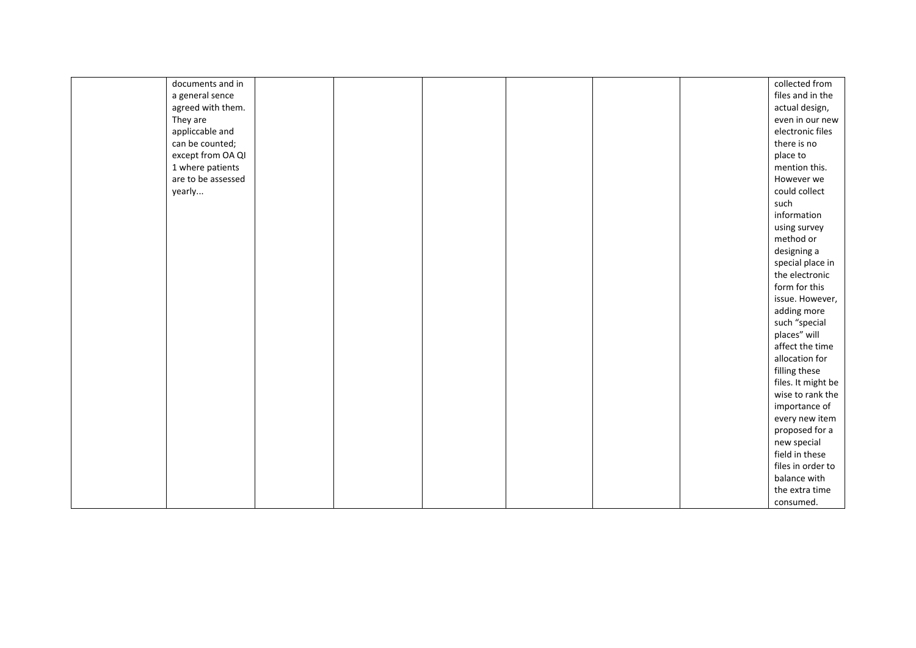| documents and in   |  |  |  | collected from     |
|--------------------|--|--|--|--------------------|
| a general sence    |  |  |  | files and in the   |
| agreed with them.  |  |  |  | actual design,     |
| They are           |  |  |  | even in our new    |
| appliccable and    |  |  |  | electronic files   |
| can be counted;    |  |  |  | there is no        |
| except from OA QI  |  |  |  | place to           |
| 1 where patients   |  |  |  | mention this.      |
| are to be assessed |  |  |  | However we         |
| yearly             |  |  |  | could collect      |
|                    |  |  |  | such               |
|                    |  |  |  | information        |
|                    |  |  |  | using survey       |
|                    |  |  |  | method or          |
|                    |  |  |  | designing a        |
|                    |  |  |  | special place in   |
|                    |  |  |  | the electronic     |
|                    |  |  |  | form for this      |
|                    |  |  |  | issue. However,    |
|                    |  |  |  | adding more        |
|                    |  |  |  | such "special      |
|                    |  |  |  | places" will       |
|                    |  |  |  | affect the time    |
|                    |  |  |  | allocation for     |
|                    |  |  |  | filling these      |
|                    |  |  |  | files. It might be |
|                    |  |  |  | wise to rank the   |
|                    |  |  |  | importance of      |
|                    |  |  |  | every new item     |
|                    |  |  |  | proposed for a     |
|                    |  |  |  | new special        |
|                    |  |  |  | field in these     |
|                    |  |  |  | files in order to  |
|                    |  |  |  | balance with       |
|                    |  |  |  | the extra time     |
|                    |  |  |  | consumed.          |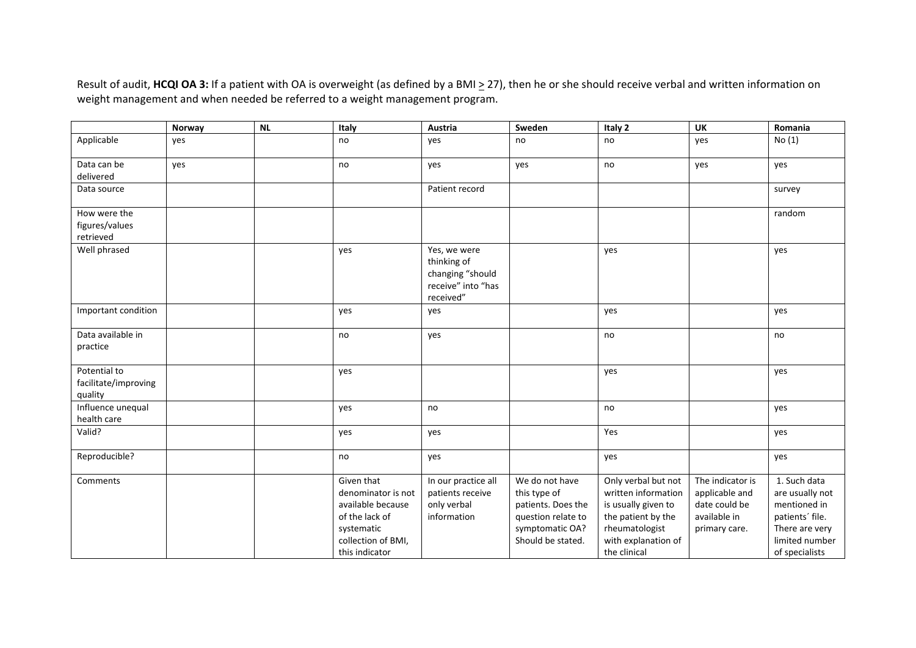Result of audit, **HCQI OA 3:** If <sup>a</sup> patient with OA is overweight (as defined by <sup>a</sup> BMI <sup>&</sup>gt; 27), then he or she should receive verbal and written information on weight management and when needed be referred to <sup>a</sup> weight management program.

|                                                 | Norway | <b>NL</b> | Italy                                                                                                                         | Austria                                                                            | Sweden                                                                                                             | Italy 2                                                                                                                                          | <b>UK</b>                                                                            | Romania                                                                                                                  |
|-------------------------------------------------|--------|-----------|-------------------------------------------------------------------------------------------------------------------------------|------------------------------------------------------------------------------------|--------------------------------------------------------------------------------------------------------------------|--------------------------------------------------------------------------------------------------------------------------------------------------|--------------------------------------------------------------------------------------|--------------------------------------------------------------------------------------------------------------------------|
| Applicable                                      | yes    |           | no                                                                                                                            | yes                                                                                | no                                                                                                                 | no                                                                                                                                               | yes                                                                                  | No(1)                                                                                                                    |
| Data can be<br>delivered                        | yes    |           | no                                                                                                                            | yes                                                                                | yes                                                                                                                | no                                                                                                                                               | yes                                                                                  | yes                                                                                                                      |
| Data source                                     |        |           |                                                                                                                               | Patient record                                                                     |                                                                                                                    |                                                                                                                                                  |                                                                                      | survey                                                                                                                   |
| How were the<br>figures/values<br>retrieved     |        |           |                                                                                                                               |                                                                                    |                                                                                                                    |                                                                                                                                                  |                                                                                      | random                                                                                                                   |
| Well phrased                                    |        |           | yes                                                                                                                           | Yes, we were<br>thinking of<br>changing "should<br>receive" into "has<br>received" |                                                                                                                    | yes                                                                                                                                              |                                                                                      | yes                                                                                                                      |
| Important condition                             |        |           | yes                                                                                                                           | yes                                                                                |                                                                                                                    | yes                                                                                                                                              |                                                                                      | yes                                                                                                                      |
| Data available in<br>practice                   |        |           | no                                                                                                                            | yes                                                                                |                                                                                                                    | no                                                                                                                                               |                                                                                      | no                                                                                                                       |
| Potential to<br>facilitate/improving<br>quality |        |           | yes                                                                                                                           |                                                                                    |                                                                                                                    | yes                                                                                                                                              |                                                                                      | yes                                                                                                                      |
| Influence unequal<br>health care                |        |           | yes                                                                                                                           | no                                                                                 |                                                                                                                    | no                                                                                                                                               |                                                                                      | yes                                                                                                                      |
| Valid?                                          |        |           | yes                                                                                                                           | yes                                                                                |                                                                                                                    | Yes                                                                                                                                              |                                                                                      | yes                                                                                                                      |
| Reproducible?                                   |        |           | no                                                                                                                            | yes                                                                                |                                                                                                                    | yes                                                                                                                                              |                                                                                      | yes                                                                                                                      |
| Comments                                        |        |           | Given that<br>denominator is not<br>available because<br>of the lack of<br>systematic<br>collection of BMI,<br>this indicator | In our practice all<br>patients receive<br>only verbal<br>information              | We do not have<br>this type of<br>patients. Does the<br>question relate to<br>symptomatic OA?<br>Should be stated. | Only verbal but not<br>written information<br>is usually given to<br>the patient by the<br>rheumatologist<br>with explanation of<br>the clinical | The indicator is<br>applicable and<br>date could be<br>available in<br>primary care. | 1. Such data<br>are usually not<br>mentioned in<br>patients' file.<br>There are very<br>limited number<br>of specialists |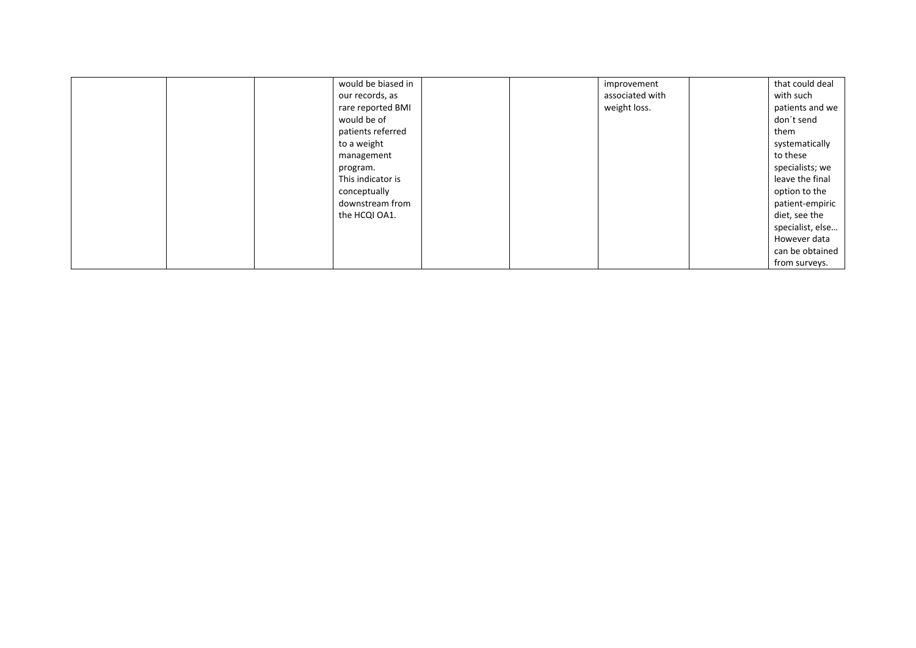|  | would be biased in |  | improvement     | that could deal  |
|--|--------------------|--|-----------------|------------------|
|  | our records, as    |  | associated with | with such        |
|  | rare reported BMI  |  | weight loss.    | patients and we  |
|  | would be of        |  |                 | don't send       |
|  | patients referred  |  |                 | them             |
|  | to a weight        |  |                 | systematically   |
|  | management         |  |                 | to these         |
|  | program.           |  |                 | specialists; we  |
|  | This indicator is  |  |                 | leave the final  |
|  | conceptually       |  |                 | option to the    |
|  | downstream from    |  |                 | patient-empiric  |
|  | the HCQI OA1.      |  |                 | diet, see the    |
|  |                    |  |                 | specialist, else |
|  |                    |  |                 | However data     |
|  |                    |  |                 | can be obtained  |
|  |                    |  |                 | from surveys.    |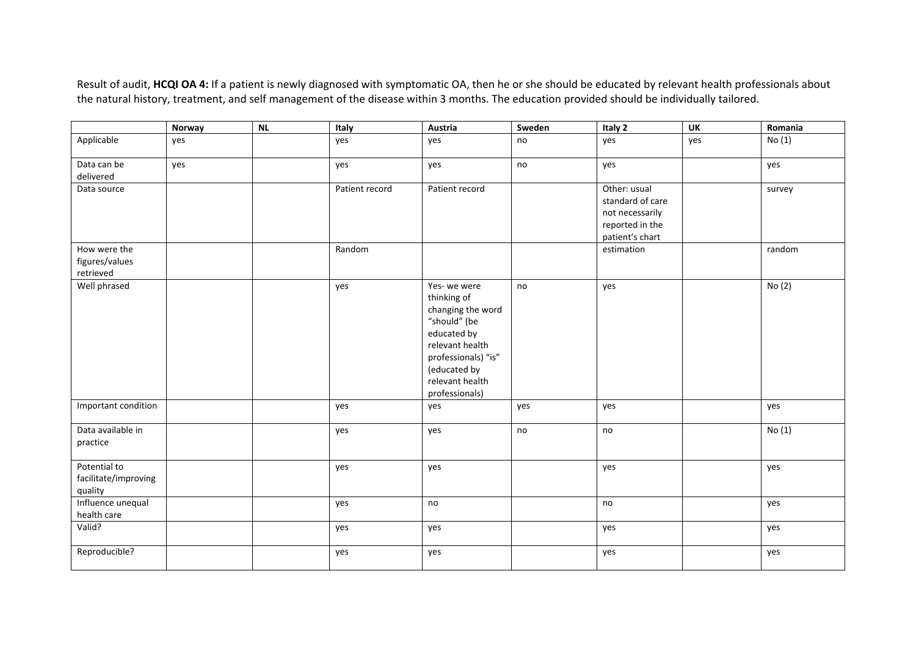Result of audit, **HCQI OA 4:** If <sup>a</sup> patient is newly diagnosed with symptomatic OA, then he or she should be educated by relevant health professionals about the natural history, treatment, and self management of the disease within 3 months. The education provided should be individually tailored.

|                                                 | Norway | NL | Italy          | Austria                                                                                                                                                                       | Sweden | Italy 2                                                                                   | <b>UK</b> | Romania |
|-------------------------------------------------|--------|----|----------------|-------------------------------------------------------------------------------------------------------------------------------------------------------------------------------|--------|-------------------------------------------------------------------------------------------|-----------|---------|
| Applicable                                      | yes    |    | yes            | yes                                                                                                                                                                           | no     | yes                                                                                       | yes       | No(1)   |
| Data can be                                     | yes    |    | yes            | yes                                                                                                                                                                           | no     | yes                                                                                       |           | yes     |
| delivered                                       |        |    |                |                                                                                                                                                                               |        |                                                                                           |           |         |
| Data source                                     |        |    | Patient record | Patient record                                                                                                                                                                |        | Other: usual<br>standard of care<br>not necessarily<br>reported in the<br>patient's chart |           | survey  |
| How were the                                    |        |    | Random         |                                                                                                                                                                               |        | estimation                                                                                |           | random  |
| figures/values<br>retrieved                     |        |    |                |                                                                                                                                                                               |        |                                                                                           |           |         |
| Well phrased                                    |        |    | yes            | Yes-we were<br>thinking of<br>changing the word<br>"should" (be<br>educated by<br>relevant health<br>professionals) "is"<br>(educated by<br>relevant health<br>professionals) | no     | yes                                                                                       |           | No(2)   |
| Important condition                             |        |    | yes            | yes                                                                                                                                                                           | yes    | yes                                                                                       |           | yes     |
| Data available in<br>practice                   |        |    | yes            | yes                                                                                                                                                                           | no     | no                                                                                        |           | No(1)   |
| Potential to<br>facilitate/improving<br>quality |        |    | yes            | yes                                                                                                                                                                           |        | yes                                                                                       |           | yes     |
| Influence unequal<br>health care                |        |    | yes            | no                                                                                                                                                                            |        | no                                                                                        |           | yes     |
| Valid?                                          |        |    | yes            | yes                                                                                                                                                                           |        | yes                                                                                       |           | yes     |
| Reproducible?                                   |        |    | yes            | yes                                                                                                                                                                           |        | yes                                                                                       |           | yes     |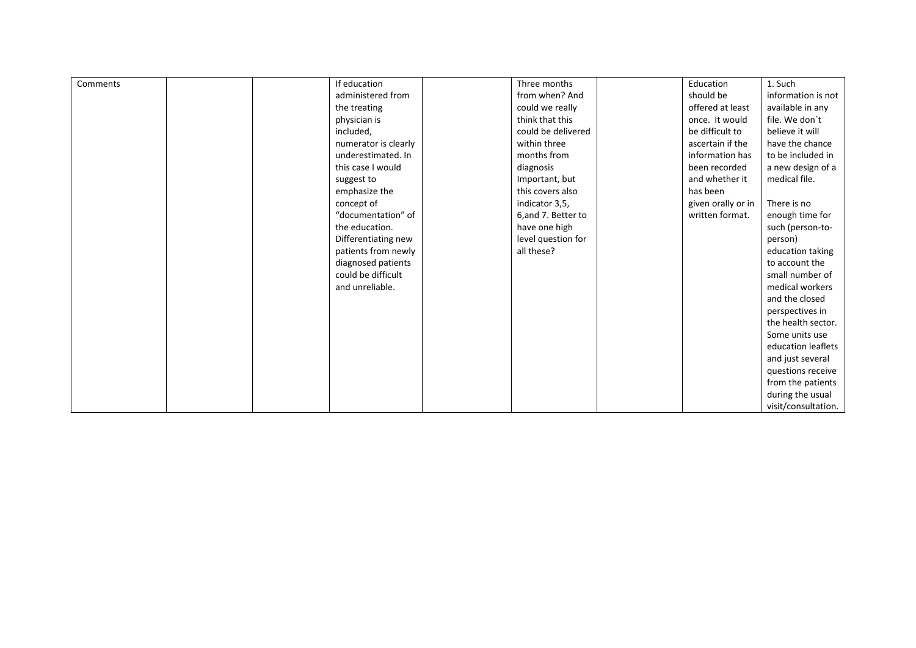| Comments | If education         | Three months       | Education          | 1. Such             |
|----------|----------------------|--------------------|--------------------|---------------------|
|          | administered from    | from when? And     | should be          | information is not  |
|          | the treating         | could we really    | offered at least   | available in any    |
|          | physician is         | think that this    | once. It would     | file. We don't      |
|          | included,            | could be delivered | be difficult to    | believe it will     |
|          | numerator is clearly | within three       | ascertain if the   | have the chance     |
|          | underestimated. In   | months from        | information has    | to be included in   |
|          | this case I would    | diagnosis          | been recorded      | a new design of a   |
|          | suggest to           | Important, but     | and whether it     | medical file.       |
|          | emphasize the        | this covers also   | has been           |                     |
|          | concept of           | indicator 3,5,     | given orally or in | There is no         |
|          | "documentation" of   | 6,and 7. Better to | written format.    | enough time for     |
|          | the education.       | have one high      |                    | such (person-to-    |
|          | Differentiating new  | level question for |                    | person)             |
|          | patients from newly  | all these?         |                    | education taking    |
|          | diagnosed patients   |                    |                    | to account the      |
|          | could be difficult   |                    |                    | small number of     |
|          | and unreliable.      |                    |                    | medical workers     |
|          |                      |                    |                    | and the closed      |
|          |                      |                    |                    | perspectives in     |
|          |                      |                    |                    | the health sector.  |
|          |                      |                    |                    | Some units use      |
|          |                      |                    |                    | education leaflets  |
|          |                      |                    |                    | and just several    |
|          |                      |                    |                    | questions receive   |
|          |                      |                    |                    | from the patients   |
|          |                      |                    |                    | during the usual    |
|          |                      |                    |                    | visit/consultation. |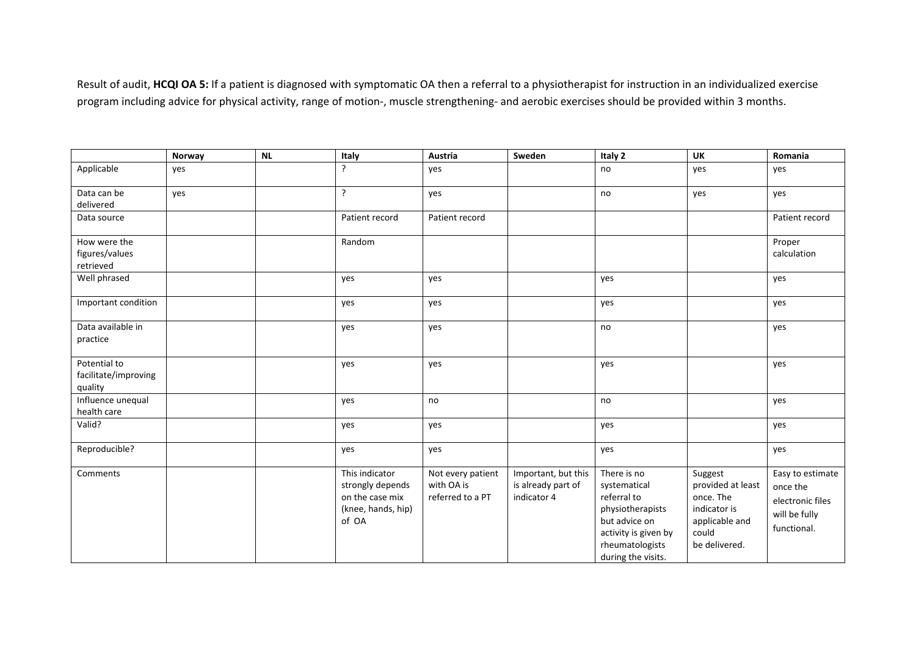Result of audit, **HCQI OA 5:** If <sup>a</sup> patient is diagnosed with symptomatic OA then <sup>a</sup> referral to <sup>a</sup> physiotherapist for instruction in an individualized exercise program including advice for physical activity, range of motion-, muscle strengthening- and aerobic exercises should be provided within 3 months.

|                                                 | Norway | <b>NL</b> | Italy                                                                                | Austria                                             | Sweden                                                   | Italy 2                                                                                                                                          | <b>UK</b>                                                                                             | Romania                                                                          |
|-------------------------------------------------|--------|-----------|--------------------------------------------------------------------------------------|-----------------------------------------------------|----------------------------------------------------------|--------------------------------------------------------------------------------------------------------------------------------------------------|-------------------------------------------------------------------------------------------------------|----------------------------------------------------------------------------------|
| Applicable                                      | yes    |           | ?                                                                                    | yes                                                 |                                                          | no                                                                                                                                               | yes                                                                                                   | yes                                                                              |
| Data can be<br>delivered                        | yes    |           | ?                                                                                    | yes                                                 |                                                          | no                                                                                                                                               | yes                                                                                                   | yes                                                                              |
| Data source                                     |        |           | Patient record                                                                       | Patient record                                      |                                                          |                                                                                                                                                  |                                                                                                       | Patient record                                                                   |
| How were the<br>figures/values<br>retrieved     |        |           | Random                                                                               |                                                     |                                                          |                                                                                                                                                  |                                                                                                       | Proper<br>calculation                                                            |
| Well phrased                                    |        |           | yes                                                                                  | yes                                                 |                                                          | yes                                                                                                                                              |                                                                                                       | yes                                                                              |
| Important condition                             |        |           | yes                                                                                  | yes                                                 |                                                          | yes                                                                                                                                              |                                                                                                       | yes                                                                              |
| Data available in<br>practice                   |        |           | yes                                                                                  | yes                                                 |                                                          | no                                                                                                                                               |                                                                                                       | yes                                                                              |
| Potential to<br>facilitate/improving<br>quality |        |           | yes                                                                                  | yes                                                 |                                                          | yes                                                                                                                                              |                                                                                                       | yes                                                                              |
| Influence unequal<br>health care                |        |           | yes                                                                                  | no                                                  |                                                          | no                                                                                                                                               |                                                                                                       | yes                                                                              |
| Valid?                                          |        |           | yes                                                                                  | yes                                                 |                                                          | yes                                                                                                                                              |                                                                                                       | yes                                                                              |
| Reproducible?                                   |        |           | yes                                                                                  | yes                                                 |                                                          | yes                                                                                                                                              |                                                                                                       | yes                                                                              |
| Comments                                        |        |           | This indicator<br>strongly depends<br>on the case mix<br>(knee, hands, hip)<br>of OA | Not every patient<br>with OA is<br>referred to a PT | Important, but this<br>is already part of<br>indicator 4 | There is no<br>systematical<br>referral to<br>physiotherapists<br>but advice on<br>activity is given by<br>rheumatologists<br>during the visits. | Suggest<br>provided at least<br>once. The<br>indicator is<br>applicable and<br>could<br>be delivered. | Easy to estimate<br>once the<br>electronic files<br>will be fully<br>functional. |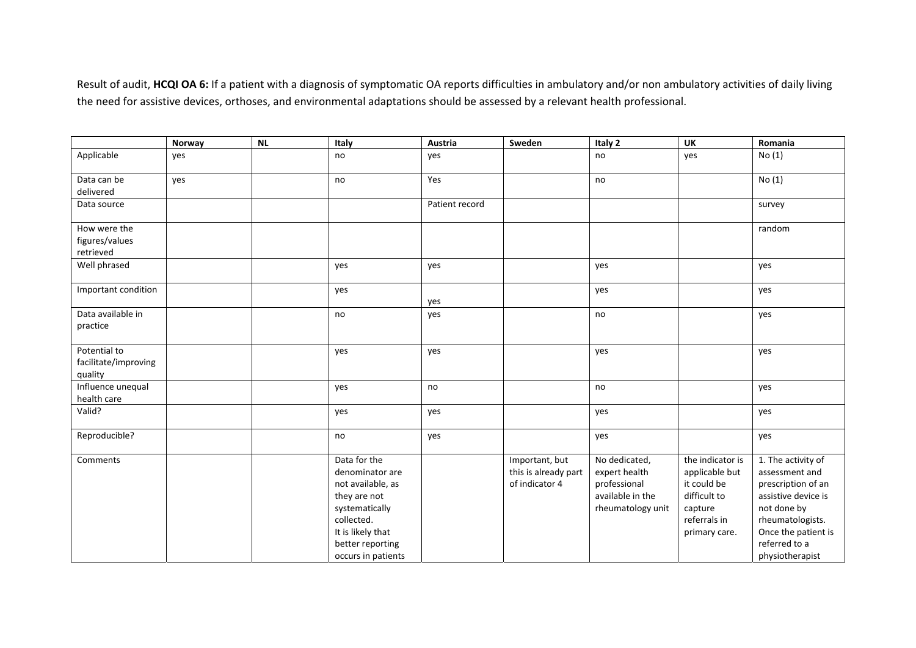Result of audit, **HCQI OA 6:** If <sup>a</sup> patient with <sup>a</sup> diagnosis of symptomatic OA reports difficulties in ambulatory and/or non ambulatory activities of daily living the need for assistive devices, orthoses, and environmental adaptations should be assessed by <sup>a</sup> relevant health professional.

|                                                 | Norway | <b>NL</b> | Italy                                                                                                                                                               | Austria        | Sweden                                                   | Italy 2                                                                                 | <b>UK</b>                                                                                                     | Romania                                                                                                                                                                         |
|-------------------------------------------------|--------|-----------|---------------------------------------------------------------------------------------------------------------------------------------------------------------------|----------------|----------------------------------------------------------|-----------------------------------------------------------------------------------------|---------------------------------------------------------------------------------------------------------------|---------------------------------------------------------------------------------------------------------------------------------------------------------------------------------|
| Applicable                                      | yes    |           | no                                                                                                                                                                  | yes            |                                                          | no                                                                                      | yes                                                                                                           | No(1)                                                                                                                                                                           |
| Data can be<br>delivered                        | yes    |           | no                                                                                                                                                                  | Yes            |                                                          | no                                                                                      |                                                                                                               | No(1)                                                                                                                                                                           |
| Data source                                     |        |           |                                                                                                                                                                     | Patient record |                                                          |                                                                                         |                                                                                                               | survey                                                                                                                                                                          |
| How were the<br>figures/values<br>retrieved     |        |           |                                                                                                                                                                     |                |                                                          |                                                                                         |                                                                                                               | random                                                                                                                                                                          |
| Well phrased                                    |        |           | yes                                                                                                                                                                 | yes            |                                                          | yes                                                                                     |                                                                                                               | yes                                                                                                                                                                             |
| Important condition                             |        |           | yes                                                                                                                                                                 | yes            |                                                          | yes                                                                                     |                                                                                                               | yes                                                                                                                                                                             |
| Data available in<br>practice                   |        |           | no                                                                                                                                                                  | yes            |                                                          | no                                                                                      |                                                                                                               | yes                                                                                                                                                                             |
| Potential to<br>facilitate/improving<br>quality |        |           | yes                                                                                                                                                                 | yes            |                                                          | yes                                                                                     |                                                                                                               | yes                                                                                                                                                                             |
| Influence unequal<br>health care                |        |           | yes                                                                                                                                                                 | no             |                                                          | no                                                                                      |                                                                                                               | yes                                                                                                                                                                             |
| Valid?                                          |        |           | yes                                                                                                                                                                 | yes            |                                                          | yes                                                                                     |                                                                                                               | yes                                                                                                                                                                             |
| Reproducible?                                   |        |           | no                                                                                                                                                                  | yes            |                                                          | yes                                                                                     |                                                                                                               | yes                                                                                                                                                                             |
| Comments                                        |        |           | Data for the<br>denominator are<br>not available, as<br>they are not<br>systematically<br>collected.<br>It is likely that<br>better reporting<br>occurs in patients |                | Important, but<br>this is already part<br>of indicator 4 | No dedicated,<br>expert health<br>professional<br>available in the<br>rheumatology unit | the indicator is<br>applicable but<br>it could be<br>difficult to<br>capture<br>referrals in<br>primary care. | 1. The activity of<br>assessment and<br>prescription of an<br>assistive device is<br>not done by<br>rheumatologists.<br>Once the patient is<br>referred to a<br>physiotherapist |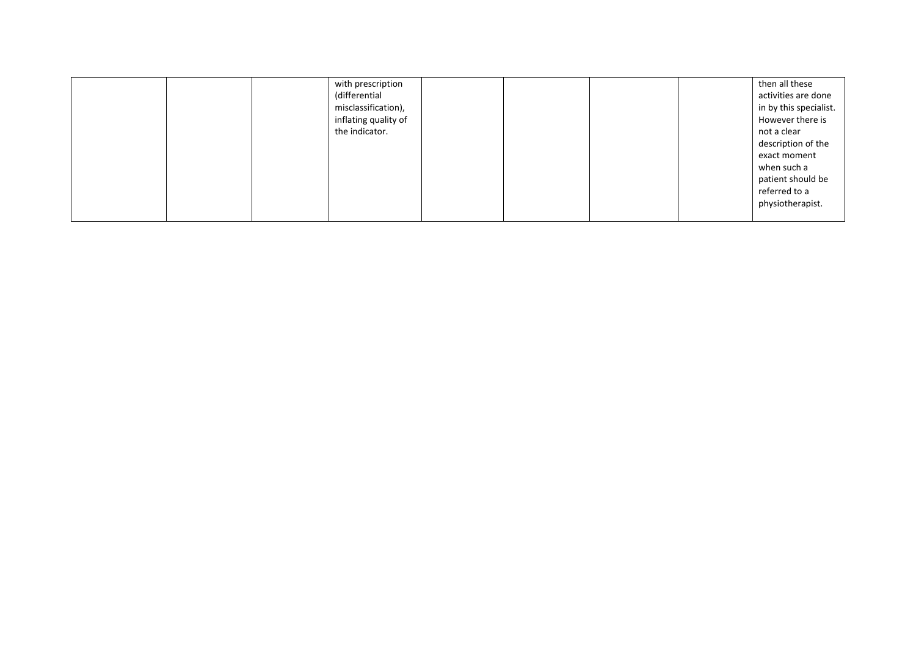|  | with prescription    |  |  | then all these         |
|--|----------------------|--|--|------------------------|
|  | (differential        |  |  | activities are done    |
|  | misclassification),  |  |  | in by this specialist. |
|  | inflating quality of |  |  | However there is       |
|  | the indicator.       |  |  | not a clear            |
|  |                      |  |  | description of the     |
|  |                      |  |  | exact moment           |
|  |                      |  |  | when such a            |
|  |                      |  |  | patient should be      |
|  |                      |  |  | referred to a          |
|  |                      |  |  | physiotherapist.       |
|  |                      |  |  |                        |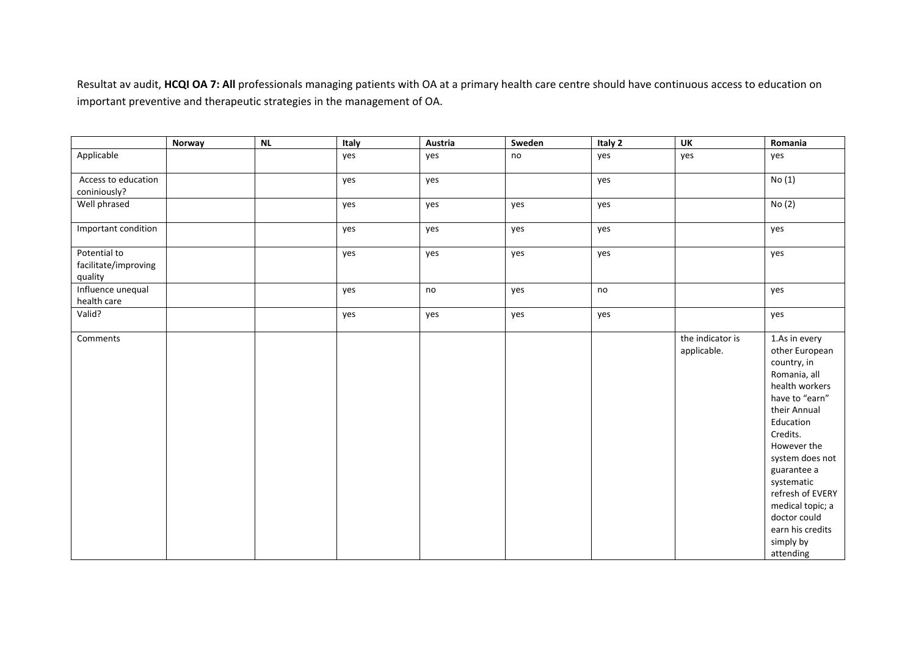Resultat av audit, **HCQI OA 7: All** professionals managing patients with OA at <sup>a</sup> primary health care centre should have continuous access to education on important preventive and therapeutic strategies in the management of OA.

|                                                 | Norway | $\sf NL$ | Italy | Austria | Sweden | Italy 2 | <b>UK</b>                       | Romania                                                                                                                                                                                                                                                                                                          |
|-------------------------------------------------|--------|----------|-------|---------|--------|---------|---------------------------------|------------------------------------------------------------------------------------------------------------------------------------------------------------------------------------------------------------------------------------------------------------------------------------------------------------------|
| Applicable                                      |        |          | yes   | yes     | no     | yes     | yes                             | yes                                                                                                                                                                                                                                                                                                              |
| Access to education<br>coniniously?             |        |          | yes   | yes     |        | yes     |                                 | No(1)                                                                                                                                                                                                                                                                                                            |
| Well phrased                                    |        |          | yes   | yes     | yes    | yes     |                                 | No (2)                                                                                                                                                                                                                                                                                                           |
| Important condition                             |        |          | yes   | yes     | yes    | yes     |                                 | yes                                                                                                                                                                                                                                                                                                              |
| Potential to<br>facilitate/improving<br>quality |        |          | yes   | yes     | yes    | yes     |                                 | yes                                                                                                                                                                                                                                                                                                              |
| Influence unequal<br>health care                |        |          | yes   | no      | yes    | no      |                                 | yes                                                                                                                                                                                                                                                                                                              |
| Valid?                                          |        |          | yes   | yes     | yes    | yes     |                                 | yes                                                                                                                                                                                                                                                                                                              |
| Comments                                        |        |          |       |         |        |         | the indicator is<br>applicable. | 1.As in every<br>other European<br>country, in<br>Romania, all<br>health workers<br>have to "earn"<br>their Annual<br>Education<br>Credits.<br>However the<br>system does not<br>guarantee a<br>systematic<br>refresh of EVERY<br>medical topic; a<br>doctor could<br>earn his credits<br>simply by<br>attending |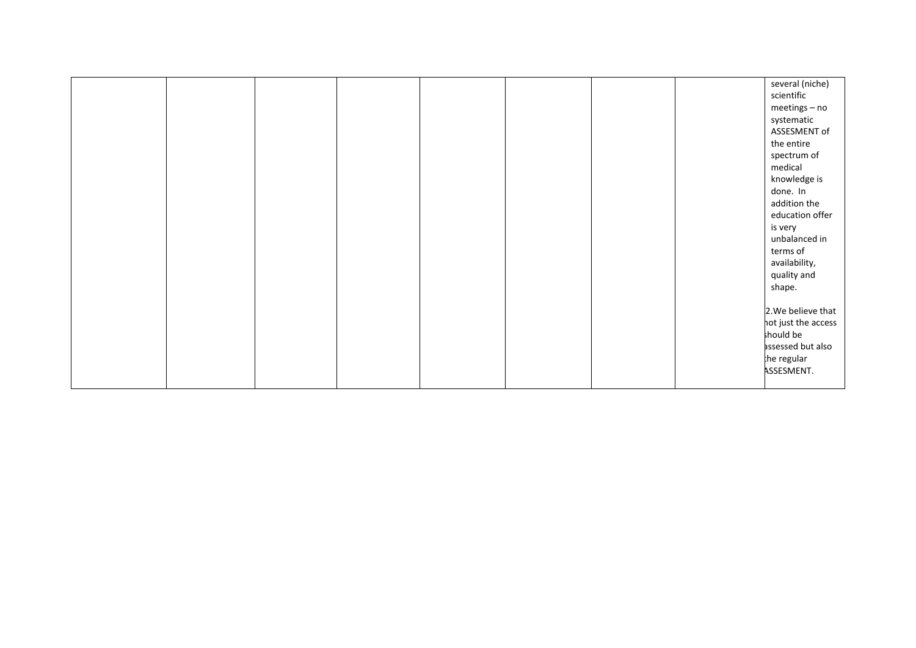|  |  |  |  | several (niche)<br>scientific<br>meetings - no<br>systematic<br>ASSESMENT of<br>the entire<br>spectrum of<br>medical<br>knowledge is<br>done. In<br>addition the<br>education offer<br>is very<br>unbalanced in<br>terms of<br>availability,<br>quality and<br>shape.<br>2. We believe that<br>hot just the access<br>should be<br>assessed but also |
|--|--|--|--|------------------------------------------------------------------------------------------------------------------------------------------------------------------------------------------------------------------------------------------------------------------------------------------------------------------------------------------------------|
|  |  |  |  | the regular<br>ASSESMENT.                                                                                                                                                                                                                                                                                                                            |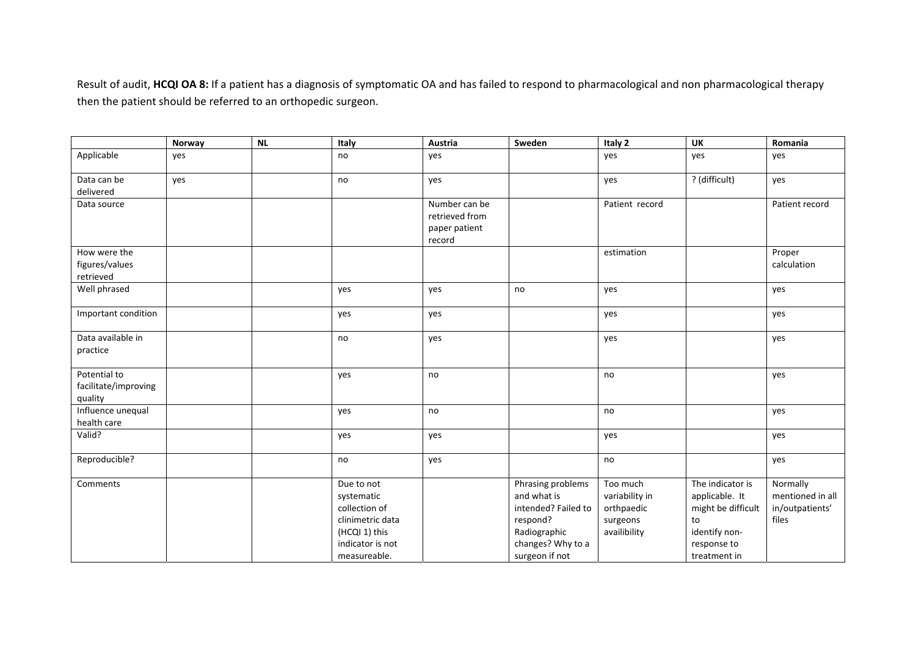Result of audit, **HCQI OA 8:** If <sup>a</sup> patient has <sup>a</sup> diagnosis of symptomatic OA and has failed to respond to pharmacological and non pharmacological therapy then the patient should be referred to an orthopedic surgeon.

|                                                 | Norway | <b>NL</b> | Italy                                                                                                              | Austria                                                    | Sweden                                                                                                                     | Italy 2                                                              | <b>UK</b>                                                                                                      | Romania                                                  |
|-------------------------------------------------|--------|-----------|--------------------------------------------------------------------------------------------------------------------|------------------------------------------------------------|----------------------------------------------------------------------------------------------------------------------------|----------------------------------------------------------------------|----------------------------------------------------------------------------------------------------------------|----------------------------------------------------------|
| Applicable                                      | yes    |           | no                                                                                                                 | yes                                                        |                                                                                                                            | yes                                                                  | yes                                                                                                            | yes                                                      |
| Data can be<br>delivered                        | yes    |           | no                                                                                                                 | yes                                                        |                                                                                                                            | yes                                                                  | ? (difficult)                                                                                                  | yes                                                      |
| Data source                                     |        |           |                                                                                                                    | Number can be<br>retrieved from<br>paper patient<br>record |                                                                                                                            | Patient record                                                       |                                                                                                                | Patient record                                           |
| How were the<br>figures/values<br>retrieved     |        |           |                                                                                                                    |                                                            |                                                                                                                            | estimation                                                           |                                                                                                                | Proper<br>calculation                                    |
| Well phrased                                    |        |           | yes                                                                                                                | yes                                                        | no                                                                                                                         | yes                                                                  |                                                                                                                | yes                                                      |
| Important condition                             |        |           | yes                                                                                                                | yes                                                        |                                                                                                                            | yes                                                                  |                                                                                                                | yes                                                      |
| Data available in<br>practice                   |        |           | no                                                                                                                 | yes                                                        |                                                                                                                            | yes                                                                  |                                                                                                                | yes                                                      |
| Potential to<br>facilitate/improving<br>quality |        |           | yes                                                                                                                | no                                                         |                                                                                                                            | no                                                                   |                                                                                                                | yes                                                      |
| Influence unequal<br>health care                |        |           | yes                                                                                                                | no                                                         |                                                                                                                            | no                                                                   |                                                                                                                | yes                                                      |
| Valid?                                          |        |           | yes                                                                                                                | yes                                                        |                                                                                                                            | yes                                                                  |                                                                                                                | yes                                                      |
| Reproducible?                                   |        |           | no                                                                                                                 | yes                                                        |                                                                                                                            | no                                                                   |                                                                                                                | yes                                                      |
| Comments                                        |        |           | Due to not<br>systematic<br>collection of<br>clinimetric data<br>(HCQI 1) this<br>indicator is not<br>measureable. |                                                            | Phrasing problems<br>and what is<br>intended? Failed to<br>respond?<br>Radiographic<br>changes? Why to a<br>surgeon if not | Too much<br>variability in<br>orthpaedic<br>surgeons<br>availibility | The indicator is<br>applicable. It<br>might be difficult<br>to<br>identify non-<br>response to<br>treatment in | Normally<br>mentioned in all<br>in/outpatients'<br>files |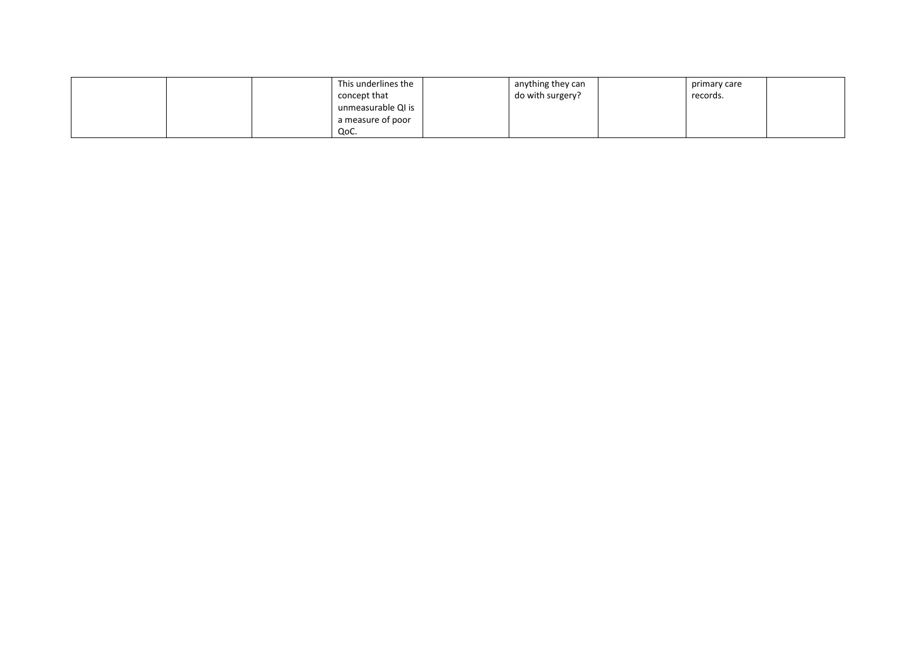|  | This underlines the | anything they can | primary care |  |
|--|---------------------|-------------------|--------------|--|
|  | concept that        | do with surgery?  | records.     |  |
|  | unmeasurable QI is  |                   |              |  |
|  | a measure of poor   |                   |              |  |
|  | QoC.                |                   |              |  |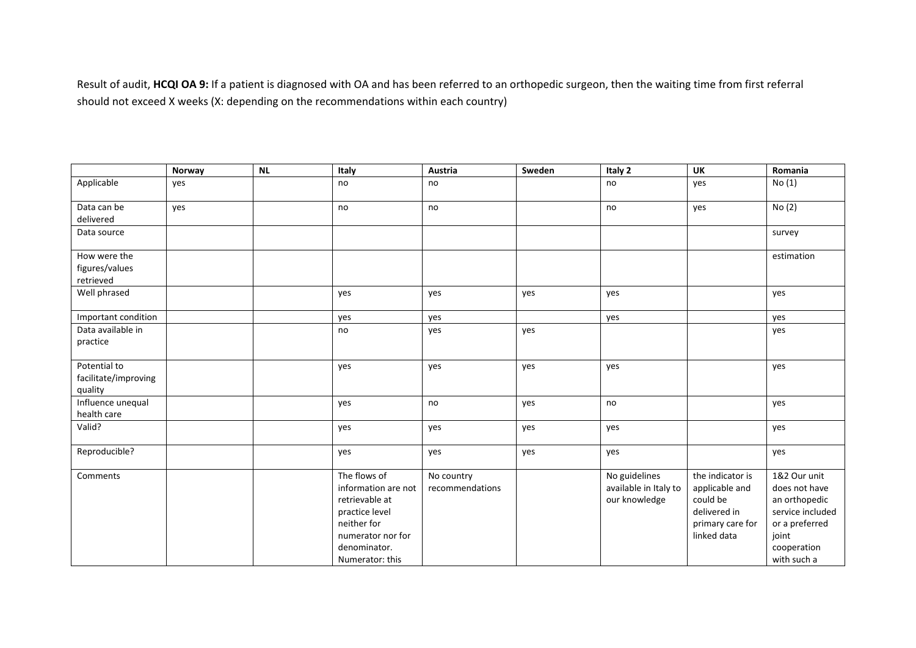Result of audit, **HCQI OA 9:** If <sup>a</sup> patient is diagnosed with OA and has been referred to an orthopedic surgeon, then the waiting time from first referral should not exceed X weeks (X: depending on the recommendations within each country)

|                                                 | Norway | NL | Italy                                                                                                                                          | Austria                       | Sweden | Italy 2                                                 | <b>UK</b>                                                                                         | Romania                                                                                                                     |
|-------------------------------------------------|--------|----|------------------------------------------------------------------------------------------------------------------------------------------------|-------------------------------|--------|---------------------------------------------------------|---------------------------------------------------------------------------------------------------|-----------------------------------------------------------------------------------------------------------------------------|
| Applicable                                      | yes    |    | no                                                                                                                                             | no                            |        | no                                                      | yes                                                                                               | No(1)                                                                                                                       |
| Data can be<br>delivered                        | yes    |    | no                                                                                                                                             | no                            |        | no                                                      | yes                                                                                               | No(2)                                                                                                                       |
| Data source                                     |        |    |                                                                                                                                                |                               |        |                                                         |                                                                                                   | survey                                                                                                                      |
| How were the<br>figures/values<br>retrieved     |        |    |                                                                                                                                                |                               |        |                                                         |                                                                                                   | estimation                                                                                                                  |
| Well phrased                                    |        |    | yes                                                                                                                                            | yes                           | yes    | yes                                                     |                                                                                                   | yes                                                                                                                         |
| Important condition                             |        |    | yes                                                                                                                                            | yes                           |        | yes                                                     |                                                                                                   | yes                                                                                                                         |
| Data available in<br>practice                   |        |    | no                                                                                                                                             | yes                           | yes    |                                                         |                                                                                                   | yes                                                                                                                         |
| Potential to<br>facilitate/improving<br>quality |        |    | yes                                                                                                                                            | yes                           | yes    | yes                                                     |                                                                                                   | yes                                                                                                                         |
| Influence unequal<br>health care                |        |    | yes                                                                                                                                            | no                            | yes    | no                                                      |                                                                                                   | yes                                                                                                                         |
| Valid?                                          |        |    | yes                                                                                                                                            | yes                           | yes    | yes                                                     |                                                                                                   | yes                                                                                                                         |
| Reproducible?                                   |        |    | yes                                                                                                                                            | yes                           | yes    | yes                                                     |                                                                                                   | yes                                                                                                                         |
| Comments                                        |        |    | The flows of<br>information are not<br>retrievable at<br>practice level<br>neither for<br>numerator nor for<br>denominator.<br>Numerator: this | No country<br>recommendations |        | No guidelines<br>available in Italy to<br>our knowledge | the indicator is<br>applicable and<br>could be<br>delivered in<br>primary care for<br>linked data | 1&2 Our unit<br>does not have<br>an orthopedic<br>service included<br>or a preferred<br>joint<br>cooperation<br>with such a |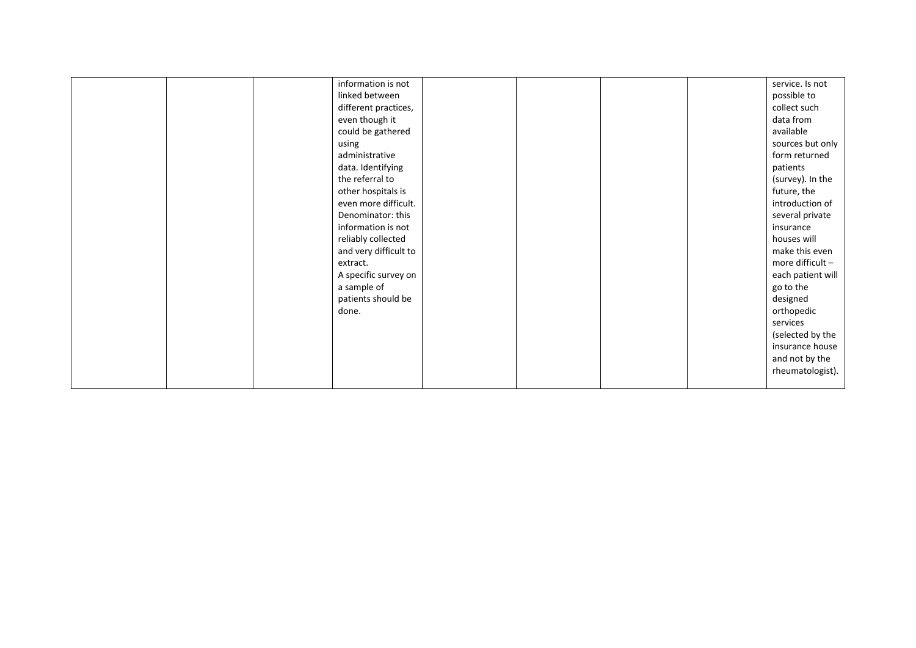|  | information is not    |  |  | service. Is not   |
|--|-----------------------|--|--|-------------------|
|  | linked between        |  |  | possible to       |
|  | different practices,  |  |  | collect such      |
|  | even though it        |  |  | data from         |
|  | could be gathered     |  |  | available         |
|  | using                 |  |  | sources but only  |
|  | administrative        |  |  | form returned     |
|  | data. Identifying     |  |  | patients          |
|  | the referral to       |  |  | (survey). In the  |
|  | other hospitals is    |  |  | future, the       |
|  | even more difficult.  |  |  | introduction of   |
|  | Denominator: this     |  |  | several private   |
|  | information is not    |  |  | insurance         |
|  | reliably collected    |  |  | houses will       |
|  | and very difficult to |  |  | make this even    |
|  | extract.              |  |  | more difficult -  |
|  | A specific survey on  |  |  | each patient will |
|  | a sample of           |  |  | go to the         |
|  | patients should be    |  |  | designed          |
|  | done.                 |  |  | orthopedic        |
|  |                       |  |  | services          |
|  |                       |  |  | (selected by the  |
|  |                       |  |  | insurance house   |
|  |                       |  |  | and not by the    |
|  |                       |  |  | rheumatologist).  |
|  |                       |  |  |                   |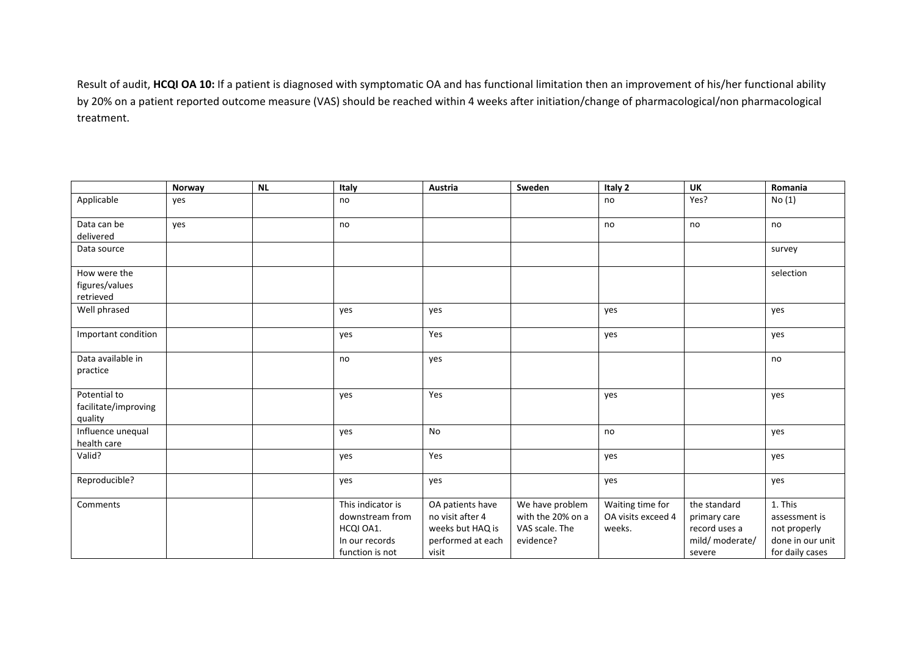Result of audit, **HCQI OA 10:** If <sup>a</sup> patient is diagnosed with symptomatic OA and has functional limitation then an improvement of his/her functional ability by 20% on <sup>a</sup> patient reported outcome measure (VAS) should be reached within 4 weeks after initiation/change of pharmacological/non pharmacological treatment.

|                      | Norway | <b>NL</b> | Italy             | Austria           | Sweden            | Italy 2            | <b>UK</b>       | Romania          |
|----------------------|--------|-----------|-------------------|-------------------|-------------------|--------------------|-----------------|------------------|
| Applicable           | yes    |           | no                |                   |                   | no                 | Yes?            | No(1)            |
| Data can be          | yes    |           | no                |                   |                   | no                 | no              | no               |
| delivered            |        |           |                   |                   |                   |                    |                 |                  |
| Data source          |        |           |                   |                   |                   |                    |                 | survey           |
| How were the         |        |           |                   |                   |                   |                    |                 | selection        |
| figures/values       |        |           |                   |                   |                   |                    |                 |                  |
| retrieved            |        |           |                   |                   |                   |                    |                 |                  |
| Well phrased         |        |           | yes               | yes               |                   | yes                |                 | yes              |
| Important condition  |        |           | yes               | Yes               |                   | yes                |                 | yes              |
| Data available in    |        |           | no                | yes               |                   |                    |                 | no               |
| practice             |        |           |                   |                   |                   |                    |                 |                  |
| Potential to         |        |           | yes               | Yes               |                   | yes                |                 | yes              |
| facilitate/improving |        |           |                   |                   |                   |                    |                 |                  |
| quality              |        |           |                   |                   |                   |                    |                 |                  |
| Influence unequal    |        |           | yes               | <b>No</b>         |                   | no                 |                 | yes              |
| health care          |        |           |                   |                   |                   |                    |                 |                  |
| Valid?               |        |           | yes               | Yes               |                   | yes                |                 | yes              |
| Reproducible?        |        |           | yes               | yes               |                   | yes                |                 | yes              |
| Comments             |        |           | This indicator is | OA patients have  | We have problem   | Waiting time for   | the standard    | 1. This          |
|                      |        |           | downstream from   | no visit after 4  | with the 20% on a | OA visits exceed 4 | primary care    | assessment is    |
|                      |        |           | HCQI OA1.         | weeks but HAQ is  | VAS scale. The    | weeks.             | record uses a   | not properly     |
|                      |        |           | In our records    | performed at each | evidence?         |                    | mild/ moderate/ | done in our unit |
|                      |        |           | function is not   | visit             |                   |                    | severe          | for daily cases  |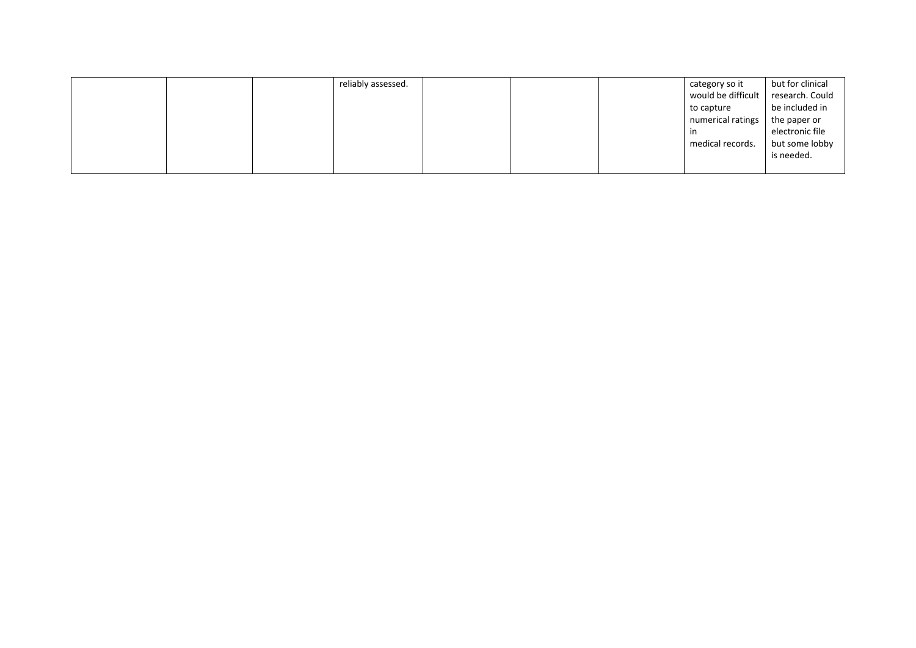|  | reliably assessed. |  | category so it     | but for clinical |
|--|--------------------|--|--------------------|------------------|
|  |                    |  | would be difficult | research. Could  |
|  |                    |  | to capture         | be included in   |
|  |                    |  | numerical ratings  | the paper or     |
|  |                    |  | in                 | electronic file  |
|  |                    |  | medical records.   | but some lobby   |
|  |                    |  |                    | is needed.       |
|  |                    |  |                    |                  |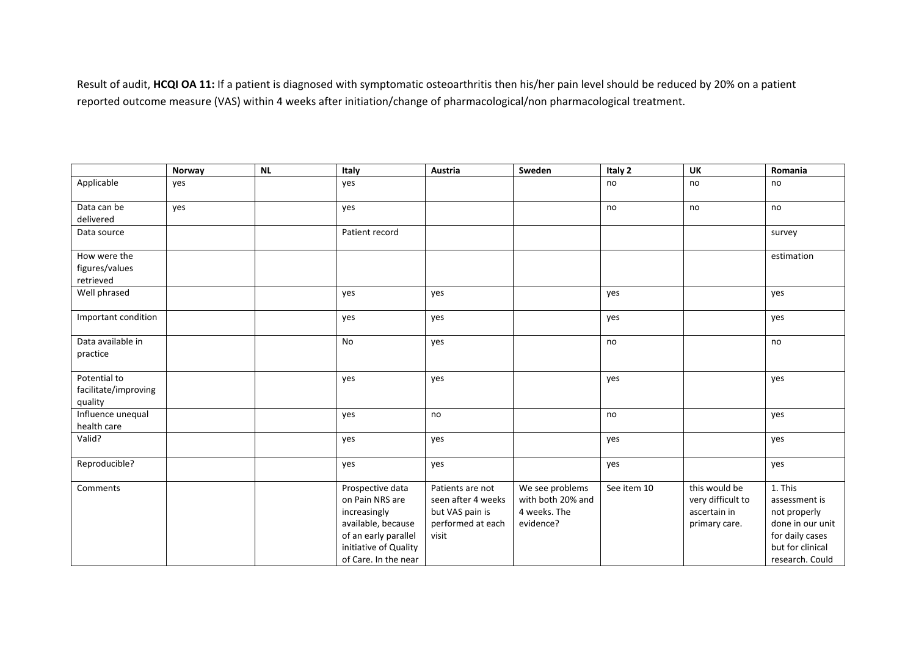Result of audit, **HCQI OA 11:** If <sup>a</sup> patient is diagnosed with symptomatic osteoarthritis then his/her pain level should be reduced by 20% on <sup>a</sup> patient reported outcome measure (VAS) within 4 weeks after initiation/change of pharmacological/non pharmacological treatment.

|                                                 | Norway | NL | Italy                                                                                                                                              | Austria                                                                                 | Sweden                                                            | Italy 2     | UK                                                                  | Romania                                                                                                                |
|-------------------------------------------------|--------|----|----------------------------------------------------------------------------------------------------------------------------------------------------|-----------------------------------------------------------------------------------------|-------------------------------------------------------------------|-------------|---------------------------------------------------------------------|------------------------------------------------------------------------------------------------------------------------|
| Applicable                                      | yes    |    | yes                                                                                                                                                |                                                                                         |                                                                   | no          | no                                                                  | no                                                                                                                     |
| Data can be<br>delivered                        | yes    |    | yes                                                                                                                                                |                                                                                         |                                                                   | no          | no                                                                  | no                                                                                                                     |
| Data source                                     |        |    | Patient record                                                                                                                                     |                                                                                         |                                                                   |             |                                                                     | survey                                                                                                                 |
| How were the<br>figures/values<br>retrieved     |        |    |                                                                                                                                                    |                                                                                         |                                                                   |             |                                                                     | estimation                                                                                                             |
| Well phrased                                    |        |    | yes                                                                                                                                                | yes                                                                                     |                                                                   | yes         |                                                                     | yes                                                                                                                    |
| Important condition                             |        |    | yes                                                                                                                                                | yes                                                                                     |                                                                   | yes         |                                                                     | yes                                                                                                                    |
| Data available in<br>practice                   |        |    | No                                                                                                                                                 | yes                                                                                     |                                                                   | no          |                                                                     | no                                                                                                                     |
| Potential to<br>facilitate/improving<br>quality |        |    | yes                                                                                                                                                | yes                                                                                     |                                                                   | yes         |                                                                     | yes                                                                                                                    |
| Influence unequal<br>health care                |        |    | yes                                                                                                                                                | no                                                                                      |                                                                   | no          |                                                                     | yes                                                                                                                    |
| Valid?                                          |        |    | yes                                                                                                                                                | yes                                                                                     |                                                                   | yes         |                                                                     | yes                                                                                                                    |
| Reproducible?                                   |        |    | yes                                                                                                                                                | yes                                                                                     |                                                                   | yes         |                                                                     | yes                                                                                                                    |
| Comments                                        |        |    | Prospective data<br>on Pain NRS are<br>increasingly<br>available, because<br>of an early parallel<br>initiative of Quality<br>of Care. In the near | Patients are not<br>seen after 4 weeks<br>but VAS pain is<br>performed at each<br>visit | We see problems<br>with both 20% and<br>4 weeks. The<br>evidence? | See item 10 | this would be<br>very difficult to<br>ascertain in<br>primary care. | 1. This<br>assessment is<br>not properly<br>done in our unit<br>for daily cases<br>but for clinical<br>research. Could |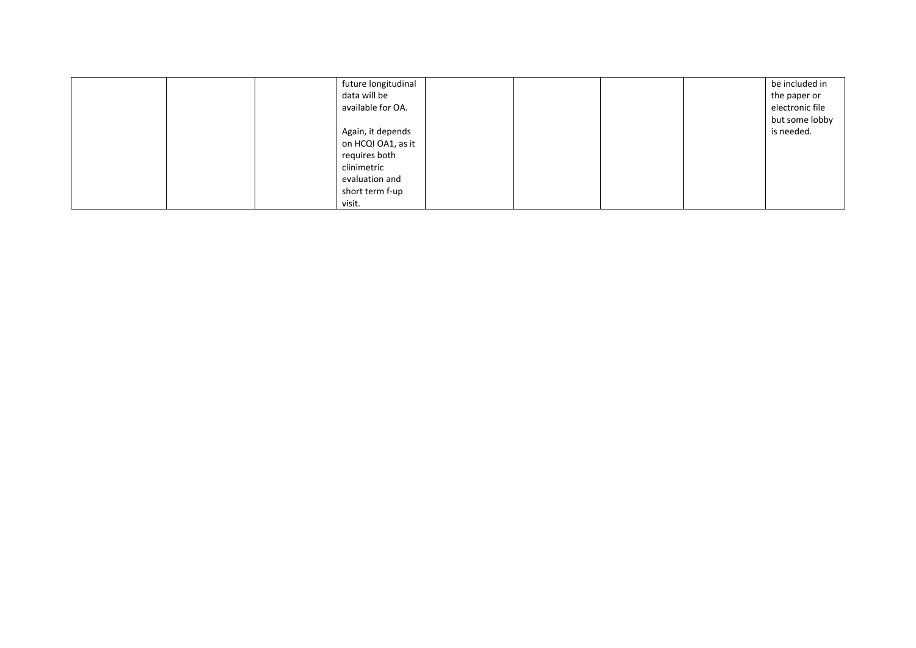|  | future longitudinal |  |  | be included in  |
|--|---------------------|--|--|-----------------|
|  | data will be        |  |  | the paper or    |
|  | available for OA.   |  |  | electronic file |
|  |                     |  |  | but some lobby  |
|  | Again, it depends   |  |  | is needed.      |
|  | on HCQI OA1, as it  |  |  |                 |
|  | requires both       |  |  |                 |
|  | clinimetric         |  |  |                 |
|  | evaluation and      |  |  |                 |
|  | short term f-up     |  |  |                 |
|  | visit.              |  |  |                 |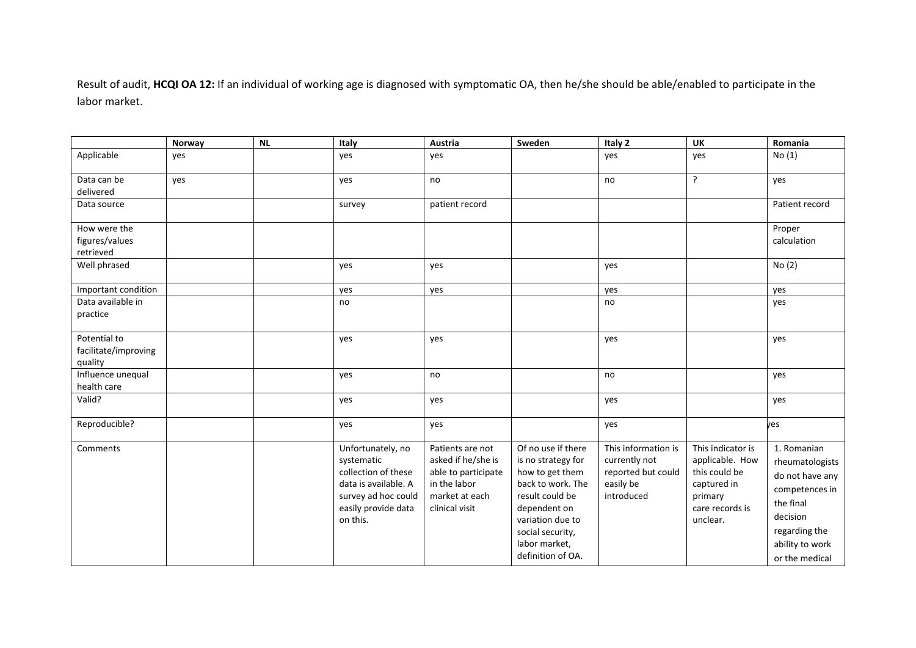Result of audit, **HCQI OA 12:** If an individual of working age is diagnosed with symptomatic OA, then he/she should be able/enabled to participate in the labor market.

|                                                 | Norway | NL | Italy                                                                                                                                    | Austria                                                                                                           | Sweden                                                                                                                                                                                            | Italy 2                                                                               | <b>UK</b>                                                                                                      | Romania                                                                                                                                            |
|-------------------------------------------------|--------|----|------------------------------------------------------------------------------------------------------------------------------------------|-------------------------------------------------------------------------------------------------------------------|---------------------------------------------------------------------------------------------------------------------------------------------------------------------------------------------------|---------------------------------------------------------------------------------------|----------------------------------------------------------------------------------------------------------------|----------------------------------------------------------------------------------------------------------------------------------------------------|
| Applicable                                      | yes    |    | yes                                                                                                                                      | yes                                                                                                               |                                                                                                                                                                                                   | yes                                                                                   | yes                                                                                                            | No(1)                                                                                                                                              |
| Data can be<br>delivered                        | yes    |    | yes                                                                                                                                      | no                                                                                                                |                                                                                                                                                                                                   | no                                                                                    | $\overline{?}$                                                                                                 | yes                                                                                                                                                |
| Data source                                     |        |    | survey                                                                                                                                   | patient record                                                                                                    |                                                                                                                                                                                                   |                                                                                       |                                                                                                                | Patient record                                                                                                                                     |
| How were the<br>figures/values<br>retrieved     |        |    |                                                                                                                                          |                                                                                                                   |                                                                                                                                                                                                   |                                                                                       |                                                                                                                | Proper<br>calculation                                                                                                                              |
| Well phrased                                    |        |    | yes                                                                                                                                      | yes                                                                                                               |                                                                                                                                                                                                   | yes                                                                                   |                                                                                                                | No(2)                                                                                                                                              |
| Important condition                             |        |    | yes                                                                                                                                      | yes                                                                                                               |                                                                                                                                                                                                   | yes                                                                                   |                                                                                                                | yes                                                                                                                                                |
| Data available in<br>practice                   |        |    | no                                                                                                                                       |                                                                                                                   |                                                                                                                                                                                                   | no                                                                                    |                                                                                                                | yes                                                                                                                                                |
| Potential to<br>facilitate/improving<br>quality |        |    | yes                                                                                                                                      | yes                                                                                                               |                                                                                                                                                                                                   | yes                                                                                   |                                                                                                                | yes                                                                                                                                                |
| Influence unequal<br>health care                |        |    | yes                                                                                                                                      | no                                                                                                                |                                                                                                                                                                                                   | no                                                                                    |                                                                                                                | yes                                                                                                                                                |
| Valid?                                          |        |    | yes                                                                                                                                      | yes                                                                                                               |                                                                                                                                                                                                   | yes                                                                                   |                                                                                                                | yes                                                                                                                                                |
| Reproducible?                                   |        |    | yes                                                                                                                                      | yes                                                                                                               |                                                                                                                                                                                                   | yes                                                                                   |                                                                                                                | yes                                                                                                                                                |
| Comments                                        |        |    | Unfortunately, no<br>systematic<br>collection of these<br>data is available. A<br>survey ad hoc could<br>easily provide data<br>on this. | Patients are not<br>asked if he/she is<br>able to participate<br>in the labor<br>market at each<br>clinical visit | Of no use if there<br>is no strategy for<br>how to get them<br>back to work. The<br>result could be<br>dependent on<br>variation due to<br>social security,<br>labor market,<br>definition of OA. | This information is<br>currently not<br>reported but could<br>easily be<br>introduced | This indicator is<br>applicable. How<br>this could be<br>captured in<br>primary<br>care records is<br>unclear. | 1. Romanian<br>rheumatologists<br>do not have any<br>competences in<br>the final<br>decision<br>regarding the<br>ability to work<br>or the medical |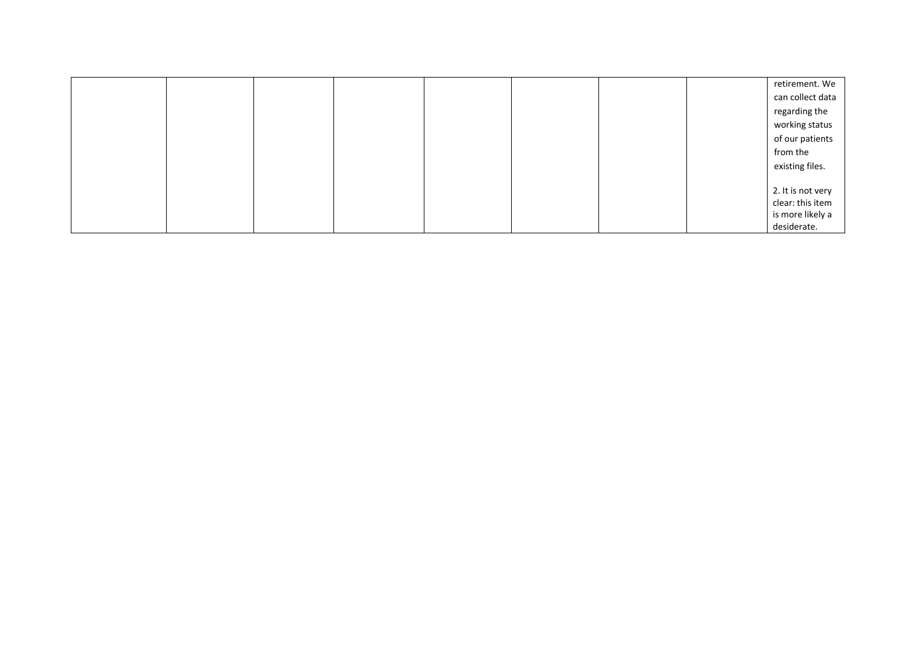|  |  |  |  | retirement. We    |
|--|--|--|--|-------------------|
|  |  |  |  | can collect data  |
|  |  |  |  | regarding the     |
|  |  |  |  | working status    |
|  |  |  |  | of our patients   |
|  |  |  |  | from the          |
|  |  |  |  | existing files.   |
|  |  |  |  |                   |
|  |  |  |  | 2. It is not very |
|  |  |  |  | clear: this item  |
|  |  |  |  | is more likely a  |
|  |  |  |  | desiderate.       |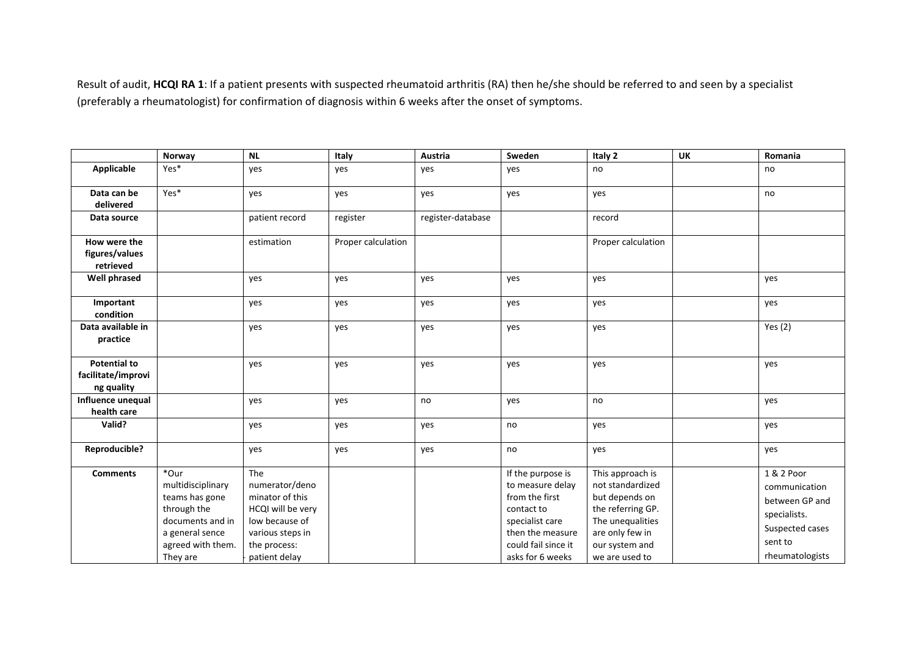Result of audit, **HCQI RA 1**: If <sup>a</sup> patient presents with suspected rheumatoid arthritis (RA) then he/she should be referred to and seen by <sup>a</sup> specialist (preferably <sup>a</sup> rheumatologist) for confirmation of diagnosis within 6 weeks after the onset of symptoms.

|                                                         | Norway                                                                                                                             | <b>NL</b>                                                                                                                            | Italy              | Austria           | Sweden                                                                                                                                                  | Italy 2                                                                                                                                                | UK | Romania                                                                                                        |
|---------------------------------------------------------|------------------------------------------------------------------------------------------------------------------------------------|--------------------------------------------------------------------------------------------------------------------------------------|--------------------|-------------------|---------------------------------------------------------------------------------------------------------------------------------------------------------|--------------------------------------------------------------------------------------------------------------------------------------------------------|----|----------------------------------------------------------------------------------------------------------------|
| Applicable                                              | Yes*                                                                                                                               | yes                                                                                                                                  | yes                | yes               | yes                                                                                                                                                     | no                                                                                                                                                     |    | no                                                                                                             |
| Data can be<br>delivered                                | Yes*                                                                                                                               | yes                                                                                                                                  | yes                | yes               | yes                                                                                                                                                     | yes                                                                                                                                                    |    | no                                                                                                             |
| Data source                                             |                                                                                                                                    | patient record                                                                                                                       | register           | register-database |                                                                                                                                                         | record                                                                                                                                                 |    |                                                                                                                |
| How were the<br>figures/values<br>retrieved             |                                                                                                                                    | estimation                                                                                                                           | Proper calculation |                   |                                                                                                                                                         | Proper calculation                                                                                                                                     |    |                                                                                                                |
| <b>Well phrased</b>                                     |                                                                                                                                    | yes                                                                                                                                  | yes                | yes               | yes                                                                                                                                                     | yes                                                                                                                                                    |    | yes                                                                                                            |
| Important<br>condition                                  |                                                                                                                                    | yes                                                                                                                                  | yes                | yes               | yes                                                                                                                                                     | yes                                                                                                                                                    |    | yes                                                                                                            |
| Data available in<br>practice                           |                                                                                                                                    | yes                                                                                                                                  | yes                | yes               | yes                                                                                                                                                     | yes                                                                                                                                                    |    | Yes $(2)$                                                                                                      |
| <b>Potential to</b><br>facilitate/improvi<br>ng quality |                                                                                                                                    | yes                                                                                                                                  | yes                | yes               | yes                                                                                                                                                     | yes                                                                                                                                                    |    | yes                                                                                                            |
| Influence unequal<br>health care                        |                                                                                                                                    | yes                                                                                                                                  | yes                | no                | yes                                                                                                                                                     | no                                                                                                                                                     |    | yes                                                                                                            |
| Valid?                                                  |                                                                                                                                    | yes                                                                                                                                  | yes                | yes               | no                                                                                                                                                      | yes                                                                                                                                                    |    | yes                                                                                                            |
| Reproducible?                                           |                                                                                                                                    | yes                                                                                                                                  | yes                | yes               | no                                                                                                                                                      | yes                                                                                                                                                    |    | yes                                                                                                            |
| <b>Comments</b>                                         | *Our<br>multidisciplinary<br>teams has gone<br>through the<br>documents and in<br>a general sence<br>agreed with them.<br>They are | The<br>numerator/deno<br>minator of this<br>HCQI will be very<br>low because of<br>various steps in<br>the process:<br>patient delay |                    |                   | If the purpose is<br>to measure delay<br>from the first<br>contact to<br>specialist care<br>then the measure<br>could fail since it<br>asks for 6 weeks | This approach is<br>not standardized<br>but depends on<br>the referring GP.<br>The unequalities<br>are only few in<br>our system and<br>we are used to |    | 1 & 2 Poor<br>communication<br>between GP and<br>specialists.<br>Suspected cases<br>sent to<br>rheumatologists |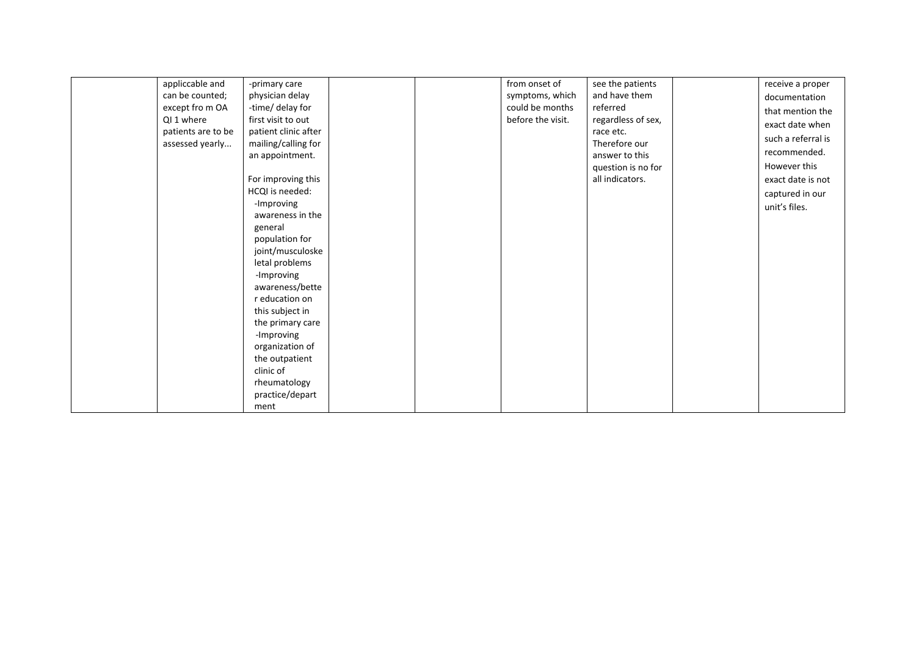| appliccable and<br>can be counted;<br>except fro m OA<br>QI 1 where<br>patients are to be<br>assessed yearly | -primary care<br>physician delay<br>-time/ delay for<br>first visit to out<br>patient clinic after<br>mailing/calling for<br>an appointment.<br>For improving this<br>HCQI is needed:<br>-Improving<br>awareness in the<br>general<br>population for<br>joint/musculoske<br>letal problems<br>-Improving<br>awareness/bette<br>r education on<br>this subject in<br>the primary care<br>-Improving | from onset of<br>symptoms, which<br>could be months<br>before the visit. | see the patients<br>and have them<br>referred<br>regardless of sex,<br>race etc.<br>Therefore our<br>answer to this<br>question is no for<br>all indicators. |  | receive a proper<br>documentation<br>that mention the<br>exact date when<br>such a referral is<br>recommended.<br>However this<br>exact date is not<br>captured in our<br>unit's files. |
|--------------------------------------------------------------------------------------------------------------|----------------------------------------------------------------------------------------------------------------------------------------------------------------------------------------------------------------------------------------------------------------------------------------------------------------------------------------------------------------------------------------------------|--------------------------------------------------------------------------|--------------------------------------------------------------------------------------------------------------------------------------------------------------|--|-----------------------------------------------------------------------------------------------------------------------------------------------------------------------------------------|
|--------------------------------------------------------------------------------------------------------------|----------------------------------------------------------------------------------------------------------------------------------------------------------------------------------------------------------------------------------------------------------------------------------------------------------------------------------------------------------------------------------------------------|--------------------------------------------------------------------------|--------------------------------------------------------------------------------------------------------------------------------------------------------------|--|-----------------------------------------------------------------------------------------------------------------------------------------------------------------------------------------|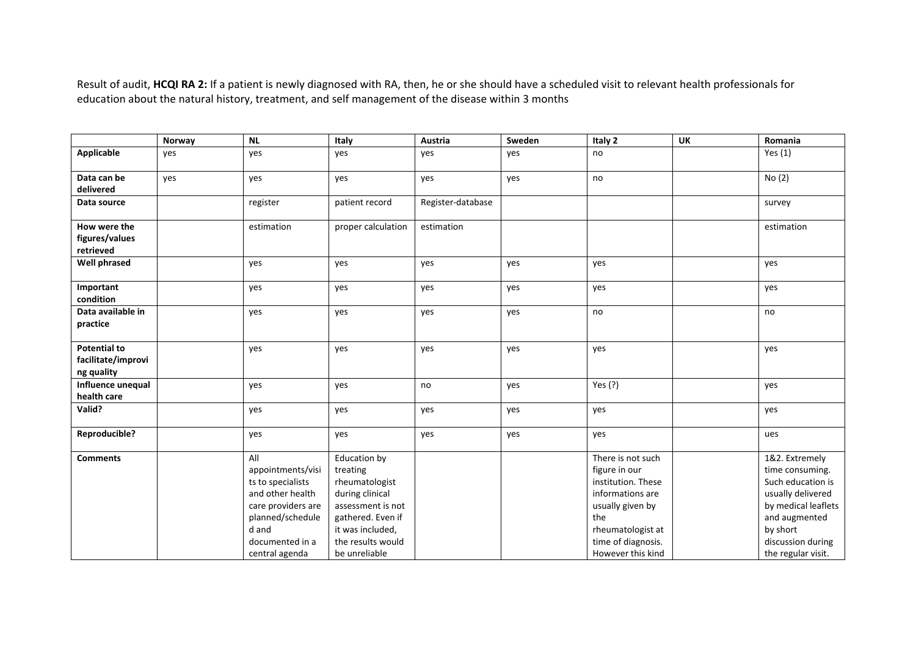Result of audit, **HCQI RA 2:** If <sup>a</sup> patient is newly diagnosed with RA, then, he or she should have <sup>a</sup> scheduled visit to relevant health professionals for education about the natural history, treatment, and self management of the disease within 3 months

|                                                         | Norway | <b>NL</b>                                                                                                                                                 | Italy                                                                                                                                                             | Austria           | Sweden | Italy 2                                                                                                                                                                 | <b>UK</b> | Romania                                                                                                                                                                    |
|---------------------------------------------------------|--------|-----------------------------------------------------------------------------------------------------------------------------------------------------------|-------------------------------------------------------------------------------------------------------------------------------------------------------------------|-------------------|--------|-------------------------------------------------------------------------------------------------------------------------------------------------------------------------|-----------|----------------------------------------------------------------------------------------------------------------------------------------------------------------------------|
| <b>Applicable</b>                                       | yes    | yes                                                                                                                                                       | yes                                                                                                                                                               | yes               | yes    | no                                                                                                                                                                      |           | Yes $(1)$                                                                                                                                                                  |
| Data can be                                             | yes    | yes                                                                                                                                                       | yes                                                                                                                                                               | yes               | yes    | no                                                                                                                                                                      |           | No(2)                                                                                                                                                                      |
| delivered                                               |        |                                                                                                                                                           |                                                                                                                                                                   |                   |        |                                                                                                                                                                         |           |                                                                                                                                                                            |
| Data source                                             |        | register                                                                                                                                                  | patient record                                                                                                                                                    | Register-database |        |                                                                                                                                                                         |           | survey                                                                                                                                                                     |
| How were the                                            |        | estimation                                                                                                                                                | proper calculation                                                                                                                                                | estimation        |        |                                                                                                                                                                         |           | estimation                                                                                                                                                                 |
| figures/values<br>retrieved                             |        |                                                                                                                                                           |                                                                                                                                                                   |                   |        |                                                                                                                                                                         |           |                                                                                                                                                                            |
| <b>Well phrased</b>                                     |        | yes                                                                                                                                                       | yes                                                                                                                                                               | yes               | yes    | yes                                                                                                                                                                     |           | yes                                                                                                                                                                        |
| Important<br>condition                                  |        | yes                                                                                                                                                       | yes                                                                                                                                                               | yes               | yes    | yes                                                                                                                                                                     |           | yes                                                                                                                                                                        |
| Data available in<br>practice                           |        | yes                                                                                                                                                       | yes                                                                                                                                                               | yes               | yes    | no                                                                                                                                                                      |           | no                                                                                                                                                                         |
| <b>Potential to</b><br>facilitate/improvi<br>ng quality |        | yes                                                                                                                                                       | yes                                                                                                                                                               | yes               | yes    | yes                                                                                                                                                                     |           | yes                                                                                                                                                                        |
| Influence unequal<br>health care                        |        | yes                                                                                                                                                       | yes                                                                                                                                                               | no                | yes    | Yes (?)                                                                                                                                                                 |           | yes                                                                                                                                                                        |
| Valid?                                                  |        | yes                                                                                                                                                       | yes                                                                                                                                                               | yes               | yes    | yes                                                                                                                                                                     |           | yes                                                                                                                                                                        |
| Reproducible?                                           |        | yes                                                                                                                                                       | yes                                                                                                                                                               | yes               | yes    | yes                                                                                                                                                                     |           | ues                                                                                                                                                                        |
| <b>Comments</b>                                         |        | All<br>appointments/visi<br>ts to specialists<br>and other health<br>care providers are<br>planned/schedule<br>d and<br>documented in a<br>central agenda | Education by<br>treating<br>rheumatologist<br>during clinical<br>assessment is not<br>gathered. Even if<br>it was included,<br>the results would<br>be unreliable |                   |        | There is not such<br>figure in our<br>institution. These<br>informations are<br>usually given by<br>the<br>rheumatologist at<br>time of diagnosis.<br>However this kind |           | 1&2. Extremely<br>time consuming.<br>Such education is<br>usually delivered<br>by medical leaflets<br>and augmented<br>by short<br>discussion during<br>the regular visit. |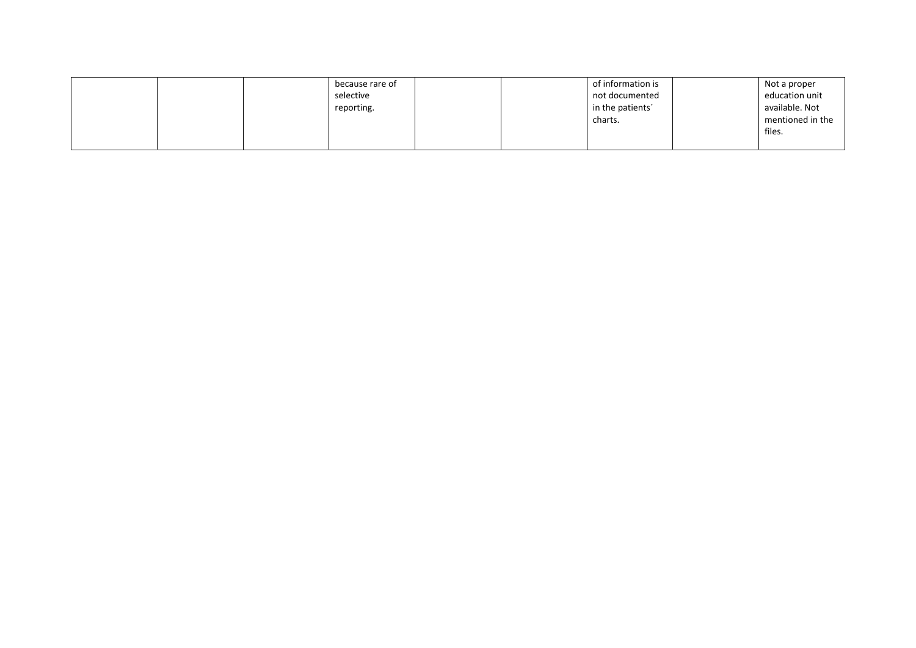|  | because rare of |  | of information is | Not a proper     |
|--|-----------------|--|-------------------|------------------|
|  | selective       |  | not documented    | education unit   |
|  | reporting.      |  | in the patients'  | available. Not   |
|  |                 |  | charts.           | mentioned in the |
|  |                 |  |                   | files.           |
|  |                 |  |                   |                  |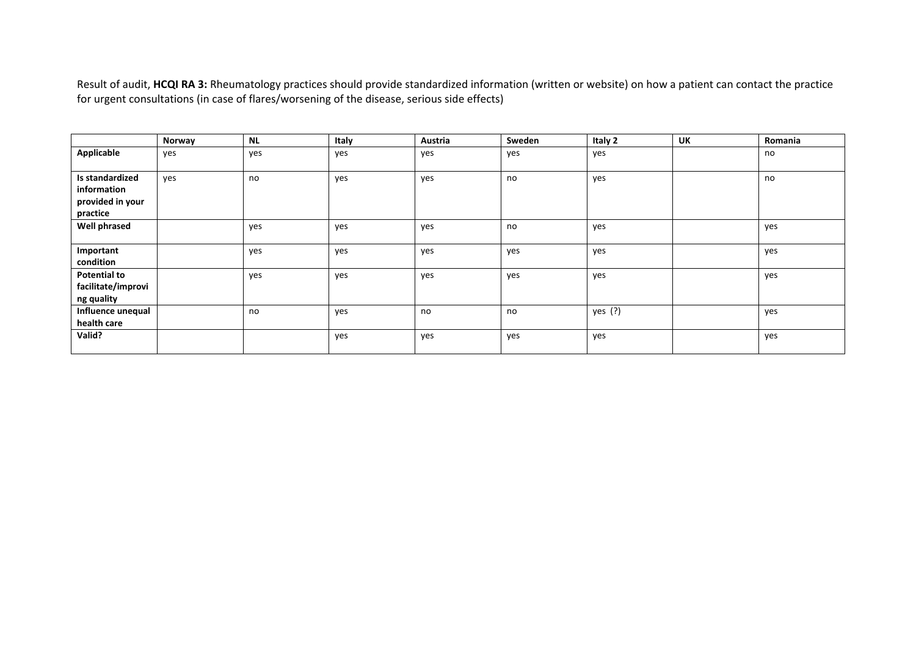Result of audit, **HCQI RA 3:** Rheumatology practices should provide standardized information (written or website) on how <sup>a</sup> patient can contact the practice for urgent consultations (in case of flares/worsening of the disease, serious side effects)

|                     | Norway | <b>NL</b> | Italy | Austria | Sweden | Italy 2   | UK | Romania |
|---------------------|--------|-----------|-------|---------|--------|-----------|----|---------|
| Applicable          | yes    | yes       | yes   | yes     | yes    | yes       |    | no      |
|                     |        |           |       |         |        |           |    |         |
| Is standardized     | ves    | no        | yes   | yes     | no     | yes       |    | no      |
| information         |        |           |       |         |        |           |    |         |
| provided in your    |        |           |       |         |        |           |    |         |
| practice            |        |           |       |         |        |           |    |         |
| <b>Well phrased</b> |        | yes       | yes   | yes     | no     | yes       |    | yes     |
|                     |        |           |       |         |        |           |    |         |
| Important           |        | yes       | yes   | yes     | yes    | yes       |    | yes     |
| condition           |        |           |       |         |        |           |    |         |
| <b>Potential to</b> |        | yes       | yes   | yes     | yes    | yes       |    | yes     |
| facilitate/improvi  |        |           |       |         |        |           |    |         |
| ng quality          |        |           |       |         |        |           |    |         |
| Influence unequal   |        | no        | yes   | no      | no     | yes $(?)$ |    | yes     |
| health care         |        |           |       |         |        |           |    |         |
| Valid?              |        |           | yes   | yes     | yes    | yes       |    | yes     |
|                     |        |           |       |         |        |           |    |         |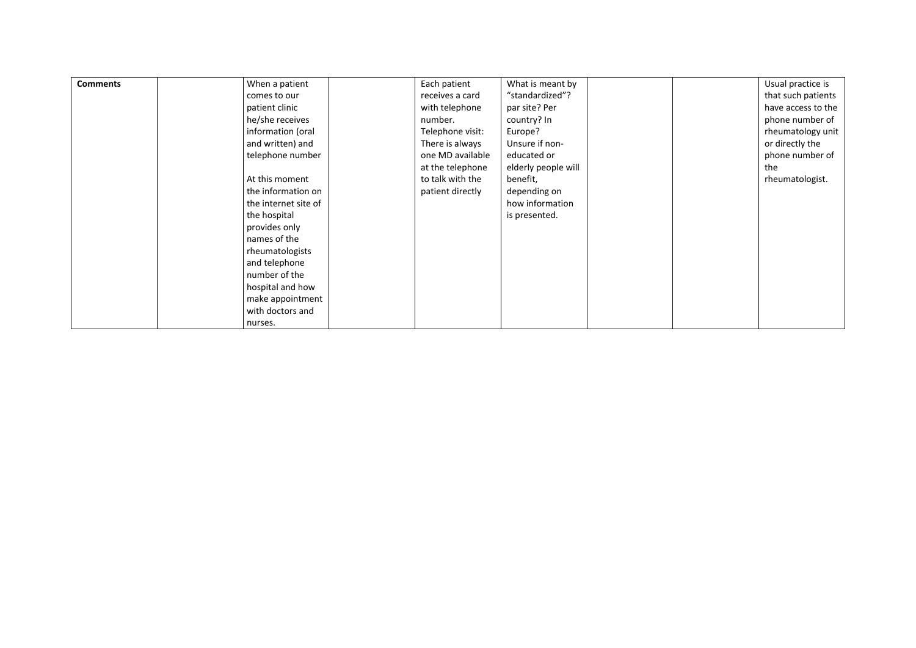| <b>Comments</b> | When a patient<br>comes to our<br>patient clinic<br>he/she receives<br>information (oral<br>and written) and<br>telephone number<br>At this moment<br>the information on<br>the internet site of<br>the hospital<br>provides only<br>names of the | Each patient<br>receives a card<br>with telephone<br>number.<br>Telephone visit:<br>There is always<br>one MD available<br>at the telephone<br>to talk with the<br>patient directly | What is meant by<br>"standardized"?<br>par site? Per<br>country? In<br>Europe?<br>Unsure if non-<br>educated or<br>elderly people will<br>benefit,<br>depending on<br>how information<br>is presented. |  | Usual practice is<br>that such patients<br>have access to the<br>phone number of<br>rheumatology unit<br>or directly the<br>phone number of<br>the<br>rheumatologist. |
|-----------------|---------------------------------------------------------------------------------------------------------------------------------------------------------------------------------------------------------------------------------------------------|-------------------------------------------------------------------------------------------------------------------------------------------------------------------------------------|--------------------------------------------------------------------------------------------------------------------------------------------------------------------------------------------------------|--|-----------------------------------------------------------------------------------------------------------------------------------------------------------------------|
|                 |                                                                                                                                                                                                                                                   |                                                                                                                                                                                     |                                                                                                                                                                                                        |  |                                                                                                                                                                       |
|                 |                                                                                                                                                                                                                                                   |                                                                                                                                                                                     |                                                                                                                                                                                                        |  |                                                                                                                                                                       |
|                 |                                                                                                                                                                                                                                                   |                                                                                                                                                                                     |                                                                                                                                                                                                        |  |                                                                                                                                                                       |
|                 |                                                                                                                                                                                                                                                   |                                                                                                                                                                                     |                                                                                                                                                                                                        |  |                                                                                                                                                                       |
|                 |                                                                                                                                                                                                                                                   |                                                                                                                                                                                     |                                                                                                                                                                                                        |  |                                                                                                                                                                       |
|                 |                                                                                                                                                                                                                                                   |                                                                                                                                                                                     |                                                                                                                                                                                                        |  |                                                                                                                                                                       |
|                 |                                                                                                                                                                                                                                                   |                                                                                                                                                                                     |                                                                                                                                                                                                        |  |                                                                                                                                                                       |
|                 |                                                                                                                                                                                                                                                   |                                                                                                                                                                                     |                                                                                                                                                                                                        |  |                                                                                                                                                                       |
|                 | rheumatologists                                                                                                                                                                                                                                   |                                                                                                                                                                                     |                                                                                                                                                                                                        |  |                                                                                                                                                                       |
|                 | and telephone                                                                                                                                                                                                                                     |                                                                                                                                                                                     |                                                                                                                                                                                                        |  |                                                                                                                                                                       |
|                 | number of the                                                                                                                                                                                                                                     |                                                                                                                                                                                     |                                                                                                                                                                                                        |  |                                                                                                                                                                       |
|                 | hospital and how                                                                                                                                                                                                                                  |                                                                                                                                                                                     |                                                                                                                                                                                                        |  |                                                                                                                                                                       |
|                 | make appointment                                                                                                                                                                                                                                  |                                                                                                                                                                                     |                                                                                                                                                                                                        |  |                                                                                                                                                                       |
|                 | with doctors and                                                                                                                                                                                                                                  |                                                                                                                                                                                     |                                                                                                                                                                                                        |  |                                                                                                                                                                       |
|                 | nurses.                                                                                                                                                                                                                                           |                                                                                                                                                                                     |                                                                                                                                                                                                        |  |                                                                                                                                                                       |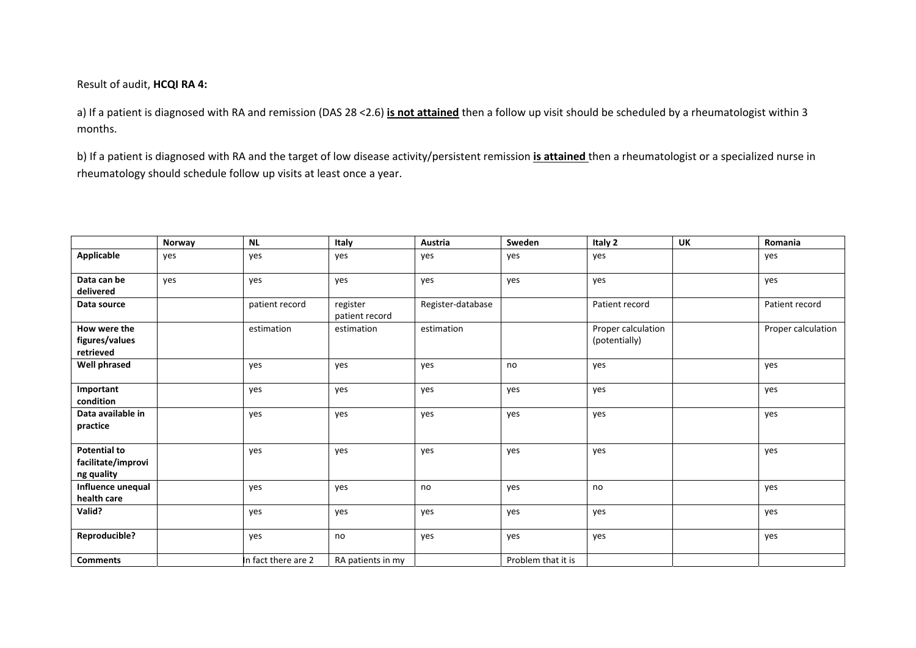Result of audit, **HCQI RA 4:**

a) If <sup>a</sup> patient is diagnosed with RA and remission (DAS 28 <2.6) **is not attained** then <sup>a</sup> follow up visit should be scheduled by <sup>a</sup> rheumatologist within 3 months.

b) If <sup>a</sup> patient is diagnosed with RA and the target of low disease activity/persistent remission **is attained** then <sup>a</sup> rheumatologist or <sup>a</sup> specialized nurse in rheumatology should schedule follow up visits at least once <sup>a</sup> year.

|                                                         | Norway | <b>NL</b>           | Italy                      | <b>Austria</b>    | Sweden             | Italy 2                             | UK | Romania            |
|---------------------------------------------------------|--------|---------------------|----------------------------|-------------------|--------------------|-------------------------------------|----|--------------------|
| <b>Applicable</b>                                       | yes    | yes                 | yes                        | yes               | yes                | yes                                 |    | yes                |
| Data can be<br>delivered                                | yes    | yes                 | yes                        | yes               | yes                | yes                                 |    | yes                |
| Data source                                             |        | patient record      | register<br>patient record | Register-database |                    | Patient record                      |    | Patient record     |
| How were the<br>figures/values<br>retrieved             |        | estimation          | estimation                 | estimation        |                    | Proper calculation<br>(potentially) |    | Proper calculation |
| <b>Well phrased</b>                                     |        | yes                 | yes                        | yes               | no                 | yes                                 |    | yes                |
| Important<br>condition                                  |        | yes                 | yes                        | yes               | yes                | yes                                 |    | yes                |
| Data available in<br>practice                           |        | yes                 | yes                        | yes               | yes                | yes                                 |    | yes                |
| <b>Potential to</b><br>facilitate/improvi<br>ng quality |        | yes                 | yes                        | yes               | yes                | yes                                 |    | yes                |
| Influence unequal<br>health care                        |        | yes                 | yes                        | no                | yes                | no                                  |    | yes                |
| Valid?                                                  |        | yes                 | yes                        | yes               | yes                | yes                                 |    | yes                |
| Reproducible?                                           |        | yes                 | no                         | yes               | yes                | yes                                 |    | yes                |
| <b>Comments</b>                                         |        | In fact there are 2 | RA patients in my          |                   | Problem that it is |                                     |    |                    |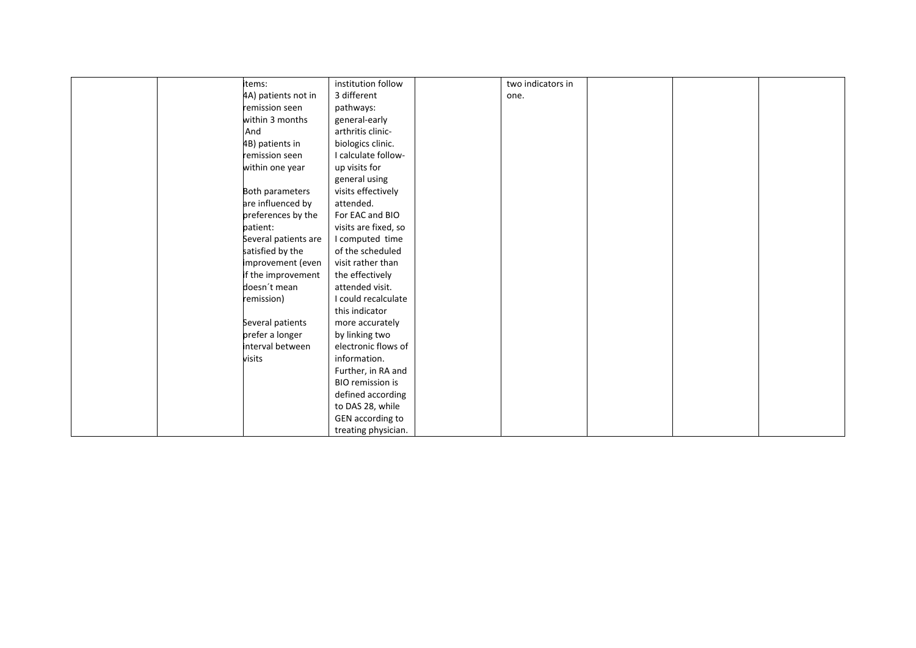| items:               | institution follow      | two indicators in |  |  |
|----------------------|-------------------------|-------------------|--|--|
| 4A) patients not in  | 3 different             | one.              |  |  |
| remission seen       | pathways:               |                   |  |  |
| within 3 months      | general-early           |                   |  |  |
| And                  | arthritis clinic-       |                   |  |  |
| 4B) patients in      | biologics clinic.       |                   |  |  |
| remission seen       | I calculate follow-     |                   |  |  |
| within one year      | up visits for           |                   |  |  |
|                      | general using           |                   |  |  |
| Both parameters      | visits effectively      |                   |  |  |
| are influenced by    | attended.               |                   |  |  |
| preferences by the   | For EAC and BIO         |                   |  |  |
| patient:             | visits are fixed, so    |                   |  |  |
| Several patients are | I computed time         |                   |  |  |
| satisfied by the     | of the scheduled        |                   |  |  |
| improvement (even    | visit rather than       |                   |  |  |
| if the improvement   | the effectively         |                   |  |  |
| doesn't mean         | attended visit.         |                   |  |  |
| remission)           | I could recalculate     |                   |  |  |
|                      | this indicator          |                   |  |  |
| Several patients     | more accurately         |                   |  |  |
| prefer a longer      | by linking two          |                   |  |  |
| interval between     | electronic flows of     |                   |  |  |
| visits               | information.            |                   |  |  |
|                      | Further, in RA and      |                   |  |  |
|                      | <b>BIO</b> remission is |                   |  |  |
|                      | defined according       |                   |  |  |
|                      | to DAS 28, while        |                   |  |  |
|                      | GEN according to        |                   |  |  |
|                      | treating physician.     |                   |  |  |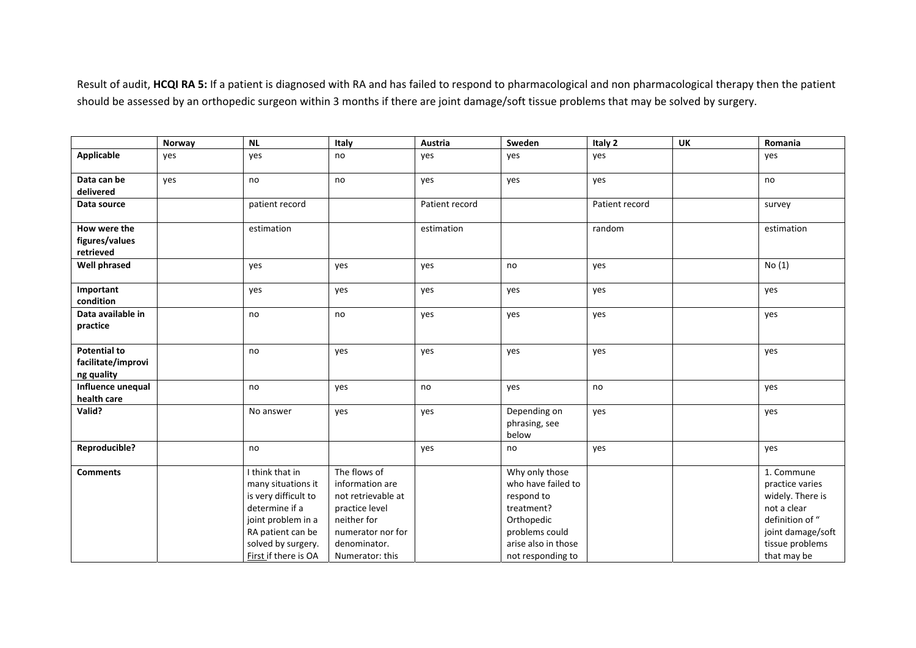Result of audit, **HCQI RA 5:** If <sup>a</sup> patient is diagnosed with RA and has failed to respond to pharmacological and non pharmacological therapy then the patient should be assessed by an orthopedic surgeon within 3 months if there are joint damage/soft tissue problems that may be solved by surgery.

|                       | Norway | <b>NL</b>            | Italy              | Austria        | Sweden                 | Italy 2        | <b>UK</b> | Romania           |
|-----------------------|--------|----------------------|--------------------|----------------|------------------------|----------------|-----------|-------------------|
| <b>Applicable</b>     | yes    | yes                  | no                 | yes            | yes                    | yes            |           | yes               |
| Data can be           | yes    | no                   | no                 | yes            | yes                    | yes            |           | no                |
| delivered             |        |                      |                    |                |                        |                |           |                   |
| Data source           |        | patient record       |                    | Patient record |                        | Patient record |           | survey            |
|                       |        |                      |                    |                |                        |                |           |                   |
| How were the          |        | estimation           |                    | estimation     |                        | random         |           | estimation        |
| figures/values        |        |                      |                    |                |                        |                |           |                   |
| retrieved             |        |                      |                    |                |                        |                |           |                   |
| <b>Well phrased</b>   |        | yes                  | yes                | yes            | no                     | yes            |           | No(1)             |
|                       |        |                      |                    |                |                        |                |           |                   |
| Important             |        | yes                  | yes                | yes            | yes                    | yes            |           | yes               |
| condition             |        |                      |                    |                |                        |                |           |                   |
| Data available in     |        | no                   | no                 | yes            | yes                    | yes            |           | yes               |
| practice              |        |                      |                    |                |                        |                |           |                   |
|                       |        |                      |                    |                |                        |                |           |                   |
| <b>Potential to</b>   |        | no                   | yes                | yes            | yes                    | yes            |           | yes               |
| facilitate/improvi    |        |                      |                    |                |                        |                |           |                   |
| ng quality            |        |                      |                    |                |                        |                |           |                   |
| Influence unequal     |        | no                   | yes                | no             | yes                    | no             |           | yes               |
| health care<br>Valid? |        |                      |                    |                |                        |                |           |                   |
|                       |        | No answer            | yes                | yes            | Depending on           | yes            |           | yes               |
|                       |        |                      |                    |                | phrasing, see<br>below |                |           |                   |
| Reproducible?         |        | no                   |                    | yes            | no                     | yes            |           | yes               |
|                       |        |                      |                    |                |                        |                |           |                   |
| <b>Comments</b>       |        | I think that in      | The flows of       |                | Why only those         |                |           | 1. Commune        |
|                       |        | many situations it   | information are    |                | who have failed to     |                |           | practice varies   |
|                       |        | is very difficult to | not retrievable at |                | respond to             |                |           | widely. There is  |
|                       |        | determine if a       | practice level     |                | treatment?             |                |           | not a clear       |
|                       |        | joint problem in a   | neither for        |                | Orthopedic             |                |           | definition of "   |
|                       |        | RA patient can be    | numerator nor for  |                | problems could         |                |           | joint damage/soft |
|                       |        | solved by surgery.   | denominator.       |                | arise also in those    |                |           | tissue problems   |
|                       |        | First if there is OA | Numerator: this    |                | not responding to      |                |           | that may be       |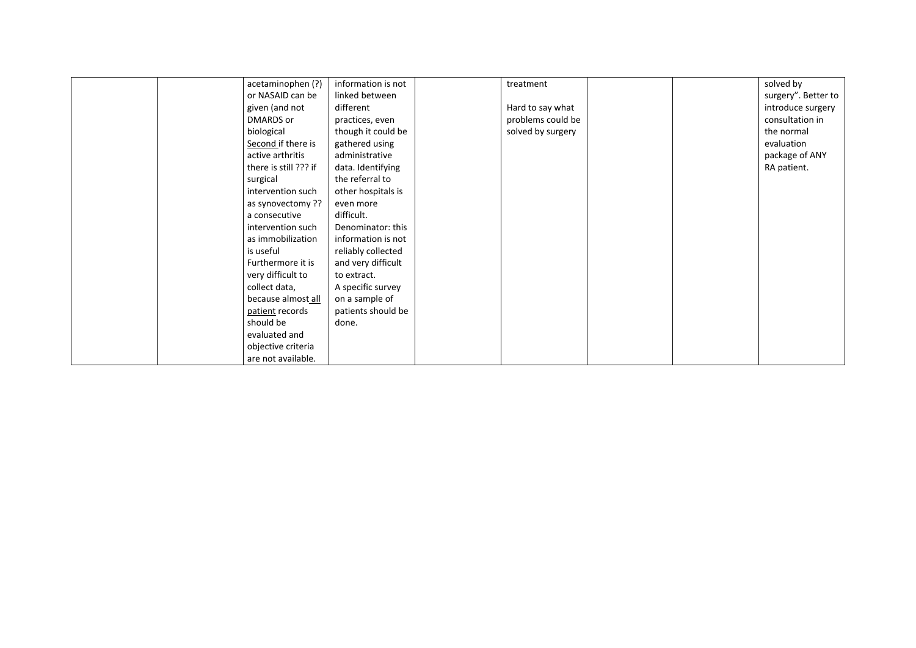|  | acetaminophen (?)     | information is not | treatment         |  | solved by           |
|--|-----------------------|--------------------|-------------------|--|---------------------|
|  | or NASAID can be      | linked between     |                   |  | surgery". Better to |
|  | given (and not        | different          | Hard to say what  |  | introduce surgery   |
|  | DMARDS or             | practices, even    | problems could be |  | consultation in     |
|  | biological            | though it could be | solved by surgery |  | the normal          |
|  | Second if there is    | gathered using     |                   |  | evaluation          |
|  | active arthritis      | administrative     |                   |  | package of ANY      |
|  | there is still ??? if | data. Identifying  |                   |  | RA patient.         |
|  | surgical              | the referral to    |                   |  |                     |
|  | intervention such     | other hospitals is |                   |  |                     |
|  | as synovectomy ??     | even more          |                   |  |                     |
|  | a consecutive         | difficult.         |                   |  |                     |
|  | intervention such     | Denominator: this  |                   |  |                     |
|  | as immobilization     | information is not |                   |  |                     |
|  | is useful             | reliably collected |                   |  |                     |
|  | Furthermore it is     | and very difficult |                   |  |                     |
|  | very difficult to     | to extract.        |                   |  |                     |
|  | collect data,         | A specific survey  |                   |  |                     |
|  | because almost all    | on a sample of     |                   |  |                     |
|  | patient records       | patients should be |                   |  |                     |
|  | should be             | done.              |                   |  |                     |
|  | evaluated and         |                    |                   |  |                     |
|  | objective criteria    |                    |                   |  |                     |
|  | are not available.    |                    |                   |  |                     |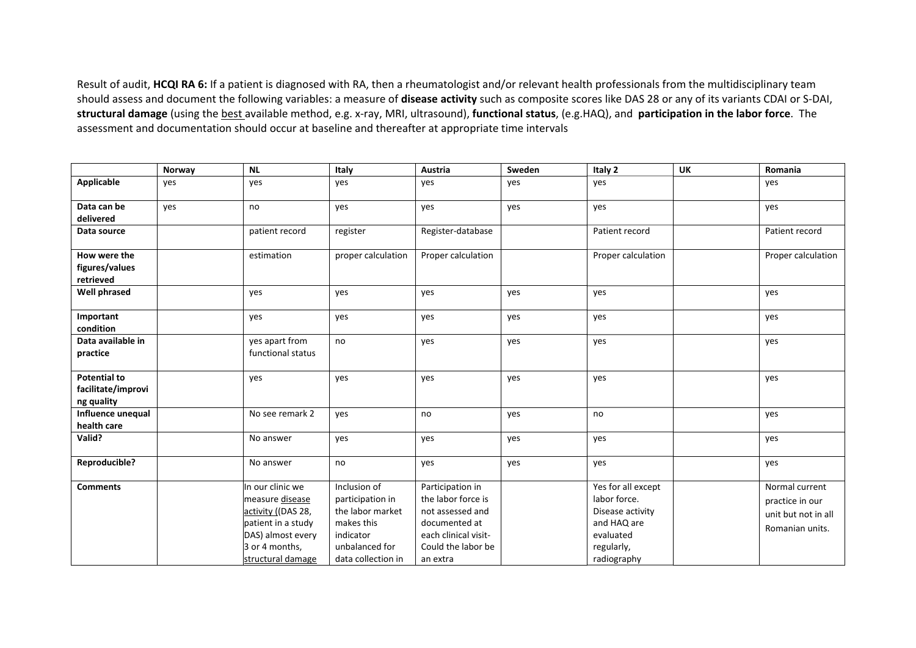Result of audit, **HCQI RA 6:** If <sup>a</sup> patient is diagnosed with RA, then <sup>a</sup> rheumatologist and/or relevant health professionals from the multidisciplinary team should assess and document the following variables: <sup>a</sup> measure of **disease activity** such as composite scores like DAS 28 or any of its variants CDAI or S‐DAI, **structural damage** (using the best available method, e.g. <sup>x</sup>‐ray, MRI, ultrasound), **functional status**, (e.g.HAQ), and **participation in the labor force**. The assessment and documentation should occur at baseline and thereafter at appropriate time intervals

|                                                         | Norway | <b>NL</b>                                                                                                                                   | Italy                                                                                                                   | Austria                                                                                                                               | Sweden | Italy 2                                                                                                         | <b>UK</b> | Romania                                                                     |
|---------------------------------------------------------|--------|---------------------------------------------------------------------------------------------------------------------------------------------|-------------------------------------------------------------------------------------------------------------------------|---------------------------------------------------------------------------------------------------------------------------------------|--------|-----------------------------------------------------------------------------------------------------------------|-----------|-----------------------------------------------------------------------------|
| <b>Applicable</b>                                       | yes    | yes                                                                                                                                         | yes                                                                                                                     | yes                                                                                                                                   | yes    | yes                                                                                                             |           | yes                                                                         |
| Data can be<br>delivered                                | yes    | no                                                                                                                                          | yes                                                                                                                     | yes                                                                                                                                   | yes    | yes                                                                                                             |           | yes                                                                         |
| Data source                                             |        | patient record                                                                                                                              | register                                                                                                                | Register-database                                                                                                                     |        | Patient record                                                                                                  |           | Patient record                                                              |
| How were the<br>figures/values<br>retrieved             |        | estimation                                                                                                                                  | proper calculation                                                                                                      | Proper calculation                                                                                                                    |        | Proper calculation                                                                                              |           | Proper calculation                                                          |
| <b>Well phrased</b>                                     |        | yes                                                                                                                                         | yes                                                                                                                     | yes                                                                                                                                   | yes    | yes                                                                                                             |           | yes                                                                         |
| Important<br>condition                                  |        | yes                                                                                                                                         | yes                                                                                                                     | yes                                                                                                                                   | yes    | yes                                                                                                             |           | yes                                                                         |
| Data available in<br>practice                           |        | yes apart from<br>functional status                                                                                                         | no                                                                                                                      | yes                                                                                                                                   | yes    | yes                                                                                                             |           | yes                                                                         |
| <b>Potential to</b><br>facilitate/improvi<br>ng quality |        | yes                                                                                                                                         | yes                                                                                                                     | yes                                                                                                                                   | yes    | yes                                                                                                             |           | yes                                                                         |
| Influence unequal<br>health care                        |        | No see remark 2                                                                                                                             | yes                                                                                                                     | no                                                                                                                                    | yes    | no                                                                                                              |           | yes                                                                         |
| Valid?                                                  |        | No answer                                                                                                                                   | yes                                                                                                                     | yes                                                                                                                                   | yes    | yes                                                                                                             |           | yes                                                                         |
| Reproducible?                                           |        | No answer                                                                                                                                   | no                                                                                                                      | yes                                                                                                                                   | yes    | yes                                                                                                             |           | yes                                                                         |
| <b>Comments</b>                                         |        | In our clinic we<br>measure disease<br>activity ((DAS 28,<br>patient in a study<br>DAS) almost every<br>3 or 4 months,<br>structural damage | Inclusion of<br>participation in<br>the labor market<br>makes this<br>indicator<br>unbalanced for<br>data collection in | Participation in<br>the labor force is<br>not assessed and<br>documented at<br>each clinical visit-<br>Could the labor be<br>an extra |        | Yes for all except<br>labor force.<br>Disease activity<br>and HAQ are<br>evaluated<br>regularly,<br>radiography |           | Normal current<br>practice in our<br>unit but not in all<br>Romanian units. |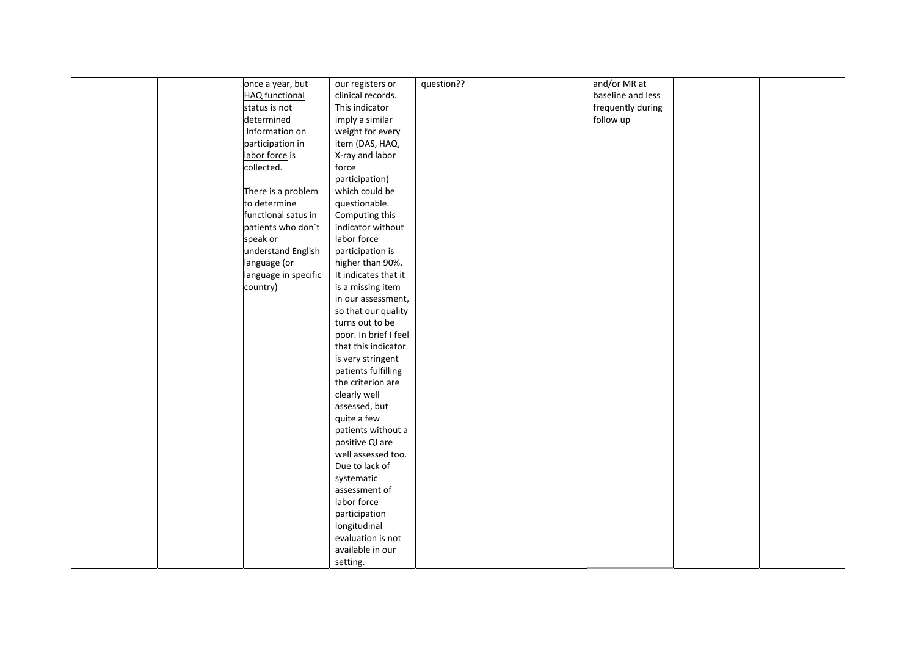|  | once a year, but      | our registers or      | question?? | and/or MR at      |  |
|--|-----------------------|-----------------------|------------|-------------------|--|
|  | <b>HAQ</b> functional | clinical records.     |            | baseline and less |  |
|  | status is not         | This indicator        |            | frequently during |  |
|  | determined            | imply a similar       |            | follow up         |  |
|  | Information on        | weight for every      |            |                   |  |
|  | participation in      | item (DAS, HAQ,       |            |                   |  |
|  | labor force is        | X-ray and labor       |            |                   |  |
|  | collected.            | force                 |            |                   |  |
|  |                       | participation)        |            |                   |  |
|  | There is a problem    | which could be        |            |                   |  |
|  | to determine          | questionable.         |            |                   |  |
|  | functional satus in   | Computing this        |            |                   |  |
|  | patients who don't    | indicator without     |            |                   |  |
|  | speak or              | labor force           |            |                   |  |
|  | understand English    | participation is      |            |                   |  |
|  | language (or          | higher than 90%.      |            |                   |  |
|  | language in specific  | It indicates that it  |            |                   |  |
|  | country)              | is a missing item     |            |                   |  |
|  |                       | in our assessment,    |            |                   |  |
|  |                       | so that our quality   |            |                   |  |
|  |                       | turns out to be       |            |                   |  |
|  |                       | poor. In brief I feel |            |                   |  |
|  |                       | that this indicator   |            |                   |  |
|  |                       | is very stringent     |            |                   |  |
|  |                       | patients fulfilling   |            |                   |  |
|  |                       | the criterion are     |            |                   |  |
|  |                       | clearly well          |            |                   |  |
|  |                       | assessed, but         |            |                   |  |
|  |                       | quite a few           |            |                   |  |
|  |                       | patients without a    |            |                   |  |
|  |                       | positive QI are       |            |                   |  |
|  |                       | well assessed too.    |            |                   |  |
|  |                       | Due to lack of        |            |                   |  |
|  |                       | systematic            |            |                   |  |
|  |                       | assessment of         |            |                   |  |
|  |                       | labor force           |            |                   |  |
|  |                       | participation         |            |                   |  |
|  |                       | longitudinal          |            |                   |  |
|  |                       | evaluation is not     |            |                   |  |
|  |                       | available in our      |            |                   |  |
|  |                       | setting.              |            |                   |  |
|  |                       |                       |            |                   |  |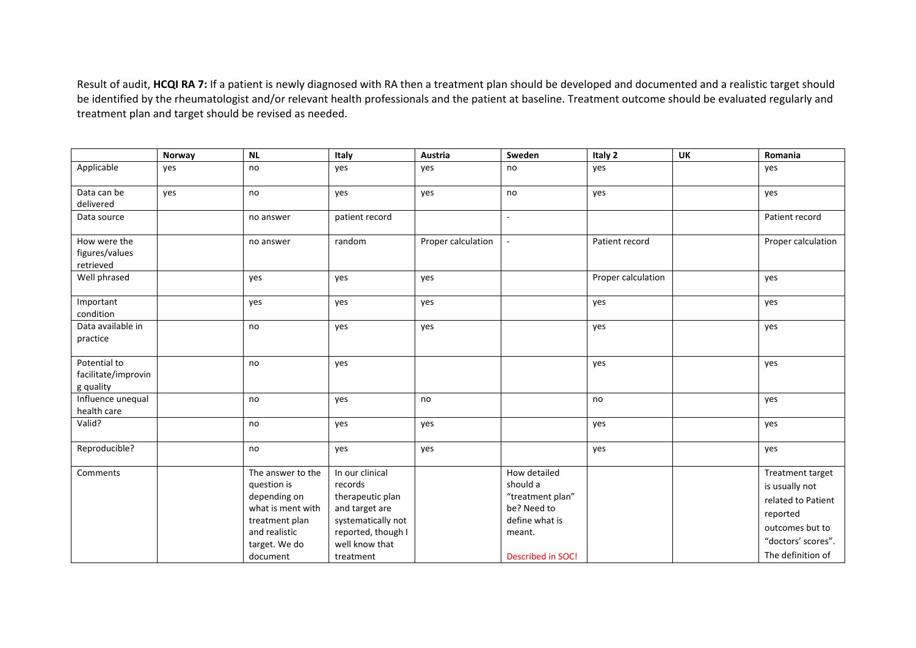Result of audit, **HCQI RA 7:** If <sup>a</sup> patient is newly diagnosed with RA then <sup>a</sup> treatment plan should be developed and documented and <sup>a</sup> realistic target should be identified by the rheumatologist and/or relevant health professionals and the patient at baseline. Treatment outcome should be evaluated regularly and treatment plan and target should be revised as needed.

|                                                  | Norway | <b>NL</b>                                                                                                                             | Italy                                                                                                                                       | Austria            | Sweden                                                                                                              | Italy 2            | <b>UK</b> | Romania                                                                                                                            |
|--------------------------------------------------|--------|---------------------------------------------------------------------------------------------------------------------------------------|---------------------------------------------------------------------------------------------------------------------------------------------|--------------------|---------------------------------------------------------------------------------------------------------------------|--------------------|-----------|------------------------------------------------------------------------------------------------------------------------------------|
| Applicable                                       | yes    | no                                                                                                                                    | yes                                                                                                                                         | yes                | no                                                                                                                  | yes                |           | yes                                                                                                                                |
| Data can be<br>delivered                         | yes    | no                                                                                                                                    | yes                                                                                                                                         | yes                | no                                                                                                                  | yes                |           | yes                                                                                                                                |
| Data source                                      |        | no answer                                                                                                                             | patient record                                                                                                                              |                    | $\overline{\phantom{a}}$                                                                                            |                    |           | Patient record                                                                                                                     |
| How were the<br>figures/values<br>retrieved      |        | no answer                                                                                                                             | random                                                                                                                                      | Proper calculation | $\omega$                                                                                                            | Patient record     |           | Proper calculation                                                                                                                 |
| Well phrased                                     |        | yes                                                                                                                                   | yes                                                                                                                                         | yes                |                                                                                                                     | Proper calculation |           | yes                                                                                                                                |
| Important<br>condition                           |        | yes                                                                                                                                   | yes                                                                                                                                         | yes                |                                                                                                                     | yes                |           | yes                                                                                                                                |
| Data available in<br>practice                    |        | no                                                                                                                                    | yes                                                                                                                                         | yes                |                                                                                                                     | yes                |           | yes                                                                                                                                |
| Potential to<br>facilitate/improvin<br>g quality |        | no                                                                                                                                    | yes                                                                                                                                         |                    |                                                                                                                     | yes                |           | yes                                                                                                                                |
| Influence unequal<br>health care                 |        | no                                                                                                                                    | yes                                                                                                                                         | no                 |                                                                                                                     | no                 |           | yes                                                                                                                                |
| Valid?                                           |        | no                                                                                                                                    | yes                                                                                                                                         | yes                |                                                                                                                     | yes                |           | yes                                                                                                                                |
| Reproducible?                                    |        | no                                                                                                                                    | yes                                                                                                                                         | yes                |                                                                                                                     | yes                |           | yes                                                                                                                                |
| Comments                                         |        | The answer to the<br>question is<br>depending on<br>what is ment with<br>treatment plan<br>and realistic<br>target. We do<br>document | In our clinical<br>records<br>therapeutic plan<br>and target are<br>systematically not<br>reported, though I<br>well know that<br>treatment |                    | How detailed<br>should a<br>"treatment plan"<br>be? Need to<br>define what is<br>meant.<br><b>Described in SOC!</b> |                    |           | Treatment target<br>is usually not<br>related to Patient<br>reported<br>outcomes but to<br>"doctors' scores".<br>The definition of |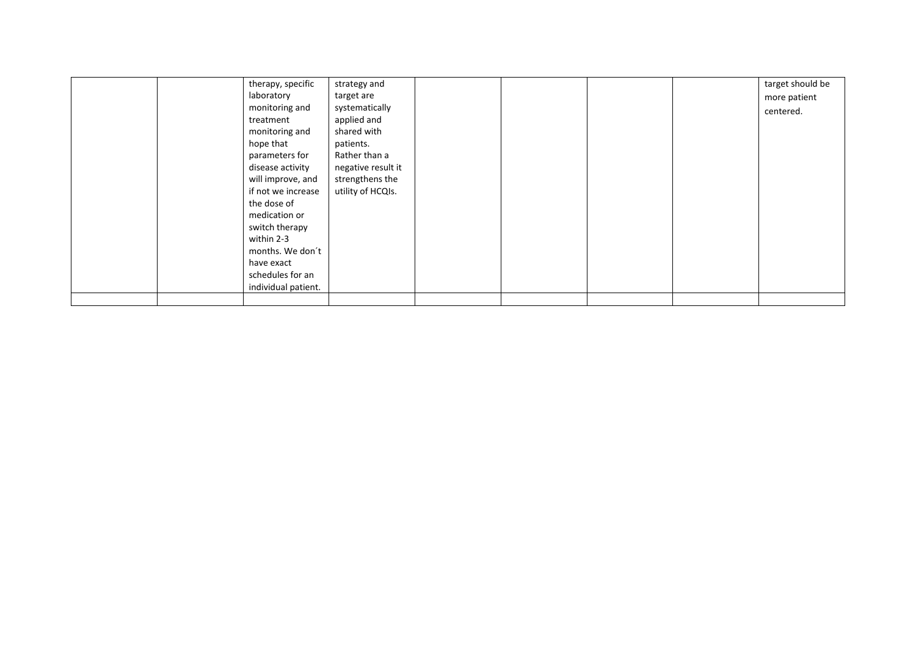| therapy, specific   | strategy and       |  |  | target should be |
|---------------------|--------------------|--|--|------------------|
| laboratory          | target are         |  |  | more patient     |
| monitoring and      | systematically     |  |  | centered.        |
| treatment           | applied and        |  |  |                  |
| monitoring and      | shared with        |  |  |                  |
| hope that           | patients.          |  |  |                  |
| parameters for      | Rather than a      |  |  |                  |
| disease activity    | negative result it |  |  |                  |
| will improve, and   | strengthens the    |  |  |                  |
| if not we increase  | utility of HCQIs.  |  |  |                  |
| the dose of         |                    |  |  |                  |
| medication or       |                    |  |  |                  |
| switch therapy      |                    |  |  |                  |
| within 2-3          |                    |  |  |                  |
| months. We don't    |                    |  |  |                  |
| have exact          |                    |  |  |                  |
| schedules for an    |                    |  |  |                  |
| individual patient. |                    |  |  |                  |
|                     |                    |  |  |                  |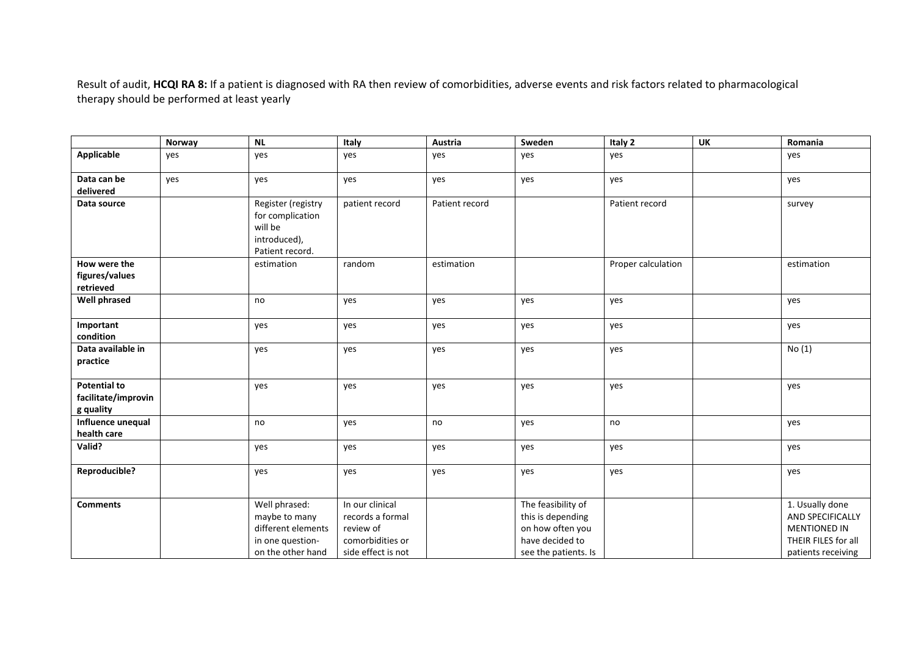Result of audit, **HCQI RA 8:** If <sup>a</sup> patient is diagnosed with RA then review of comorbidities, adverse events and risk factors related to pharmacological therapy should be performed at least yearly

|                                                         | Norway | $\overline{NL}$                                                                               | Italy                                                                                      | Austria        | Sweden                                                                                                 | Italy 2            | <b>UK</b> | Romania                                                                                                        |
|---------------------------------------------------------|--------|-----------------------------------------------------------------------------------------------|--------------------------------------------------------------------------------------------|----------------|--------------------------------------------------------------------------------------------------------|--------------------|-----------|----------------------------------------------------------------------------------------------------------------|
| Applicable                                              | yes    | yes                                                                                           | yes                                                                                        | yes            | yes                                                                                                    | yes                |           | yes                                                                                                            |
| Data can be<br>delivered                                | yes    | yes                                                                                           | yes                                                                                        | yes            | yes                                                                                                    | yes                |           | yes                                                                                                            |
| Data source                                             |        | Register (registry<br>for complication<br>will be<br>introduced),<br>Patient record.          | patient record                                                                             | Patient record |                                                                                                        | Patient record     |           | survey                                                                                                         |
| How were the<br>figures/values<br>retrieved             |        | estimation                                                                                    | random                                                                                     | estimation     |                                                                                                        | Proper calculation |           | estimation                                                                                                     |
| <b>Well phrased</b>                                     |        | no                                                                                            | yes                                                                                        | yes            | yes                                                                                                    | yes                |           | yes                                                                                                            |
| Important<br>condition                                  |        | yes                                                                                           | yes                                                                                        | yes            | yes                                                                                                    | yes                |           | yes                                                                                                            |
| Data available in<br>practice                           |        | yes                                                                                           | yes                                                                                        | yes            | yes                                                                                                    | yes                |           | No(1)                                                                                                          |
| <b>Potential to</b><br>facilitate/improvin<br>g quality |        | yes                                                                                           | yes                                                                                        | yes            | yes                                                                                                    | yes                |           | yes                                                                                                            |
| Influence unequal<br>health care                        |        | no                                                                                            | yes                                                                                        | no             | yes                                                                                                    | no                 |           | yes                                                                                                            |
| Valid?                                                  |        | yes                                                                                           | yes                                                                                        | yes            | yes                                                                                                    | yes                |           | yes                                                                                                            |
| Reproducible?                                           |        | yes                                                                                           | yes                                                                                        | yes            | yes                                                                                                    | yes                |           | yes                                                                                                            |
| <b>Comments</b>                                         |        | Well phrased:<br>maybe to many<br>different elements<br>in one question-<br>on the other hand | In our clinical<br>records a formal<br>review of<br>comorbidities or<br>side effect is not |                | The feasibility of<br>this is depending<br>on how often you<br>have decided to<br>see the patients. Is |                    |           | 1. Usually done<br><b>AND SPECIFICALLY</b><br><b>MENTIONED IN</b><br>THEIR FILES for all<br>patients receiving |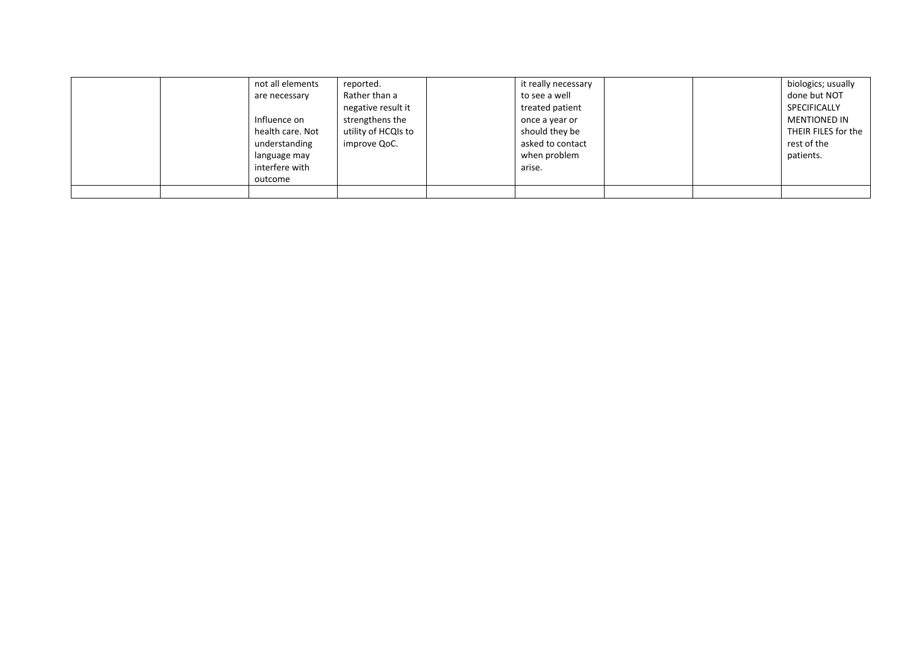|  | not all elements | reported.           | it really necessary |  | biologics; usually  |
|--|------------------|---------------------|---------------------|--|---------------------|
|  | are necessary    | Rather than a       | to see a well       |  | done but NOT        |
|  |                  | negative result it  | treated patient     |  | SPECIFICALLY        |
|  | Influence on     | strengthens the     | once a year or      |  | <b>MENTIONED IN</b> |
|  | health care. Not | utility of HCQIs to | should they be      |  | THEIR FILES for the |
|  | understanding    | improve QoC.        | asked to contact    |  | rest of the         |
|  | language may     |                     | when problem        |  | patients.           |
|  | interfere with   |                     | arise.              |  |                     |
|  | outcome          |                     |                     |  |                     |
|  |                  |                     |                     |  |                     |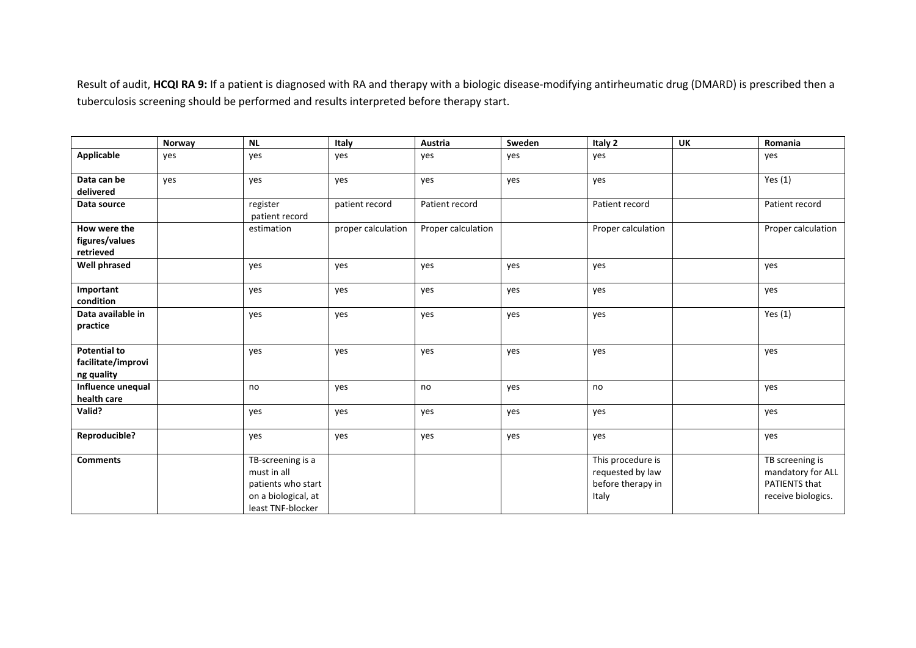Result of audit, HCQI RA 9: If a patient is diagnosed with RA and therapy with a biologic disease-modifying antirheumatic drug (DMARD) is prescribed then a tuberculosis screening should be performed and results interpreted before therapy start.

|                                                         | Norway | <b>NL</b>                                                                                          | Italy              | Austria            | Sweden | Italy 2                                                             | <b>UK</b> | Romania                                                                            |
|---------------------------------------------------------|--------|----------------------------------------------------------------------------------------------------|--------------------|--------------------|--------|---------------------------------------------------------------------|-----------|------------------------------------------------------------------------------------|
| <b>Applicable</b>                                       | yes    | yes                                                                                                | yes                | yes                | yes    | yes                                                                 |           | yes                                                                                |
| Data can be<br>delivered                                | yes    | yes                                                                                                | yes                | yes                | yes    | yes                                                                 |           | Yes $(1)$                                                                          |
| Data source                                             |        | register<br>patient record                                                                         | patient record     | Patient record     |        | Patient record                                                      |           | Patient record                                                                     |
| How were the<br>figures/values<br>retrieved             |        | estimation                                                                                         | proper calculation | Proper calculation |        | Proper calculation                                                  |           | Proper calculation                                                                 |
| <b>Well phrased</b>                                     |        | yes                                                                                                | yes                | yes                | yes    | yes                                                                 |           | yes                                                                                |
| Important<br>condition                                  |        | yes                                                                                                | yes                | yes                | yes    | yes                                                                 |           | yes                                                                                |
| Data available in<br>practice                           |        | yes                                                                                                | yes                | yes                | yes    | yes                                                                 |           | Yes $(1)$                                                                          |
| <b>Potential to</b><br>facilitate/improvi<br>ng quality |        | yes                                                                                                | yes                | yes                | yes    | yes                                                                 |           | yes                                                                                |
| Influence unequal<br>health care                        |        | no                                                                                                 | yes                | no                 | yes    | no                                                                  |           | yes                                                                                |
| Valid?                                                  |        | yes                                                                                                | yes                | yes                | yes    | yes                                                                 |           | yes                                                                                |
| Reproducible?                                           |        | yes                                                                                                | yes                | yes                | yes    | yes                                                                 |           | yes                                                                                |
| <b>Comments</b>                                         |        | TB-screening is a<br>must in all<br>patients who start<br>on a biological, at<br>least TNF-blocker |                    |                    |        | This procedure is<br>requested by law<br>before therapy in<br>Italy |           | TB screening is<br>mandatory for ALL<br><b>PATIENTS that</b><br>receive biologics. |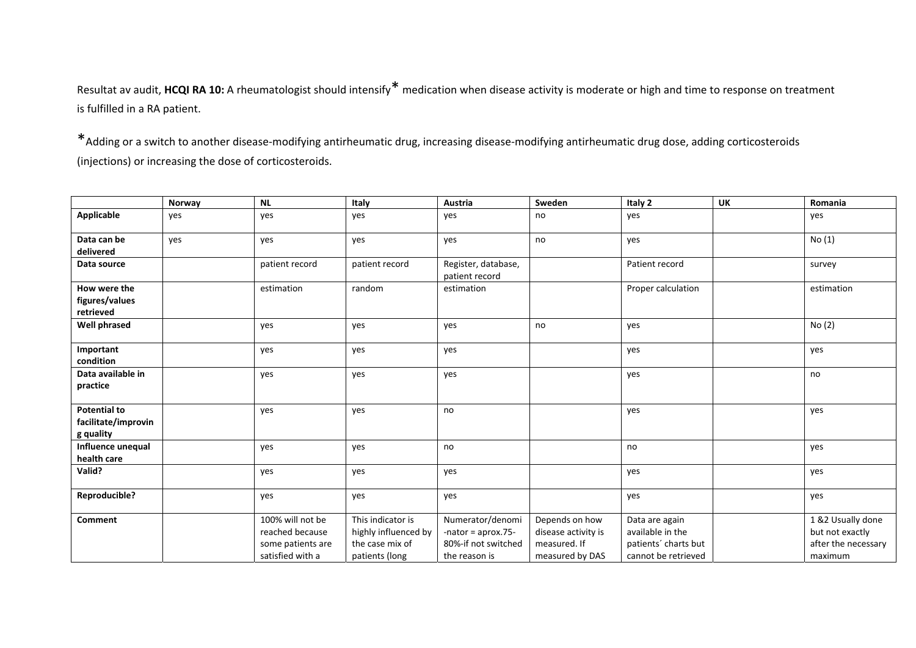Resultat av audit, **HCQI RA 10:** <sup>A</sup> rheumatologist should intensify\* medication when disease activity is moderate or high and time to response on treatment is fulfilled in <sup>a</sup> RA patient.

\*Adding or <sup>a</sup> switch to another disease‐modifying antirheumatic drug, increasing disease‐modifying antirheumatic drug dose, adding corticosteroids (injections) or increasing the dose of corticosteroids.

|                                                         | Norway | $\sf NL$                                                                     | Italy                                                                          | Austria                                                                          | Sweden                                                                   | Italy 2                                                                           | UK | Romania                                                                |
|---------------------------------------------------------|--------|------------------------------------------------------------------------------|--------------------------------------------------------------------------------|----------------------------------------------------------------------------------|--------------------------------------------------------------------------|-----------------------------------------------------------------------------------|----|------------------------------------------------------------------------|
| Applicable                                              | yes    | yes                                                                          | yes                                                                            | yes                                                                              | no                                                                       | yes                                                                               |    | yes                                                                    |
| Data can be<br>delivered                                | yes    | yes                                                                          | yes                                                                            | yes                                                                              | no                                                                       | yes                                                                               |    | No (1)                                                                 |
| Data source                                             |        | patient record                                                               | patient record                                                                 | Register, database,<br>patient record                                            |                                                                          | Patient record                                                                    |    | survey                                                                 |
| How were the<br>figures/values<br>retrieved             |        | estimation                                                                   | random                                                                         | estimation                                                                       |                                                                          | Proper calculation                                                                |    | estimation                                                             |
| Well phrased                                            |        | yes                                                                          | yes                                                                            | yes                                                                              | no                                                                       | yes                                                                               |    | No (2)                                                                 |
| Important<br>condition                                  |        | yes                                                                          | yes                                                                            | yes                                                                              |                                                                          | yes                                                                               |    | yes                                                                    |
| Data available in<br>practice                           |        | yes                                                                          | yes                                                                            | yes                                                                              |                                                                          | yes                                                                               |    | no                                                                     |
| <b>Potential to</b><br>facilitate/improvin<br>g quality |        | yes                                                                          | yes                                                                            | no                                                                               |                                                                          | yes                                                                               |    | yes                                                                    |
| Influence unequal<br>health care                        |        | yes                                                                          | yes                                                                            | no                                                                               |                                                                          | no                                                                                |    | yes                                                                    |
| Valid?                                                  |        | yes                                                                          | yes                                                                            | yes                                                                              |                                                                          | yes                                                                               |    | yes                                                                    |
| Reproducible?                                           |        | yes                                                                          | yes                                                                            | yes                                                                              |                                                                          | yes                                                                               |    | yes                                                                    |
| Comment                                                 |        | 100% will not be<br>reached because<br>some patients are<br>satisfied with a | This indicator is<br>highly influenced by<br>the case mix of<br>patients (long | Numerator/denomi<br>-nator = $aprox.75-$<br>80%-if not switched<br>the reason is | Depends on how<br>disease activity is<br>measured. If<br>measured by DAS | Data are again<br>available in the<br>patients' charts but<br>cannot be retrieved |    | 1 &2 Usually done<br>but not exactly<br>after the necessary<br>maximum |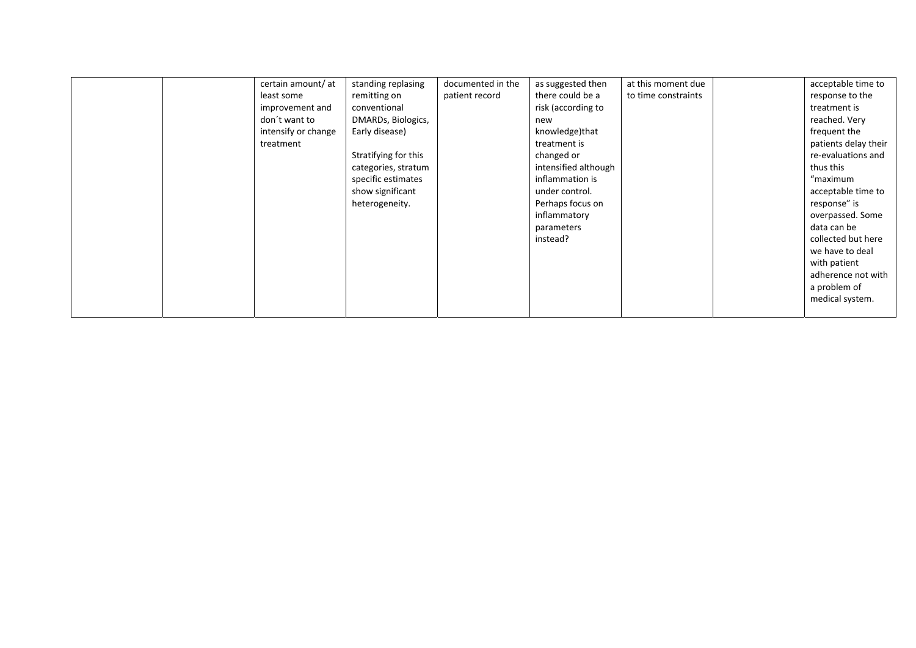|  | certain amount/ at  | standing replasing   | documented in the | as suggested then    | at this moment due  | acceptable time to   |
|--|---------------------|----------------------|-------------------|----------------------|---------------------|----------------------|
|  | least some          | remitting on         | patient record    | there could be a     | to time constraints | response to the      |
|  | improvement and     | conventional         |                   | risk (according to   |                     | treatment is         |
|  | don't want to       | DMARDs, Biologics,   |                   | new                  |                     | reached. Very        |
|  | intensify or change | Early disease)       |                   | knowledge)that       |                     | frequent the         |
|  | treatment           |                      |                   | treatment is         |                     | patients delay their |
|  |                     | Stratifying for this |                   | changed or           |                     | re-evaluations and   |
|  |                     | categories, stratum  |                   | intensified although |                     | thus this            |
|  |                     | specific estimates   |                   | inflammation is      |                     | "maximum             |
|  |                     | show significant     |                   | under control.       |                     | acceptable time to   |
|  |                     | heterogeneity.       |                   | Perhaps focus on     |                     | response" is         |
|  |                     |                      |                   | inflammatory         |                     | overpassed. Some     |
|  |                     |                      |                   | parameters           |                     | data can be          |
|  |                     |                      |                   | instead?             |                     | collected but here   |
|  |                     |                      |                   |                      |                     | we have to deal      |
|  |                     |                      |                   |                      |                     | with patient         |
|  |                     |                      |                   |                      |                     | adherence not with   |
|  |                     |                      |                   |                      |                     | a problem of         |
|  |                     |                      |                   |                      |                     | medical system.      |
|  |                     |                      |                   |                      |                     |                      |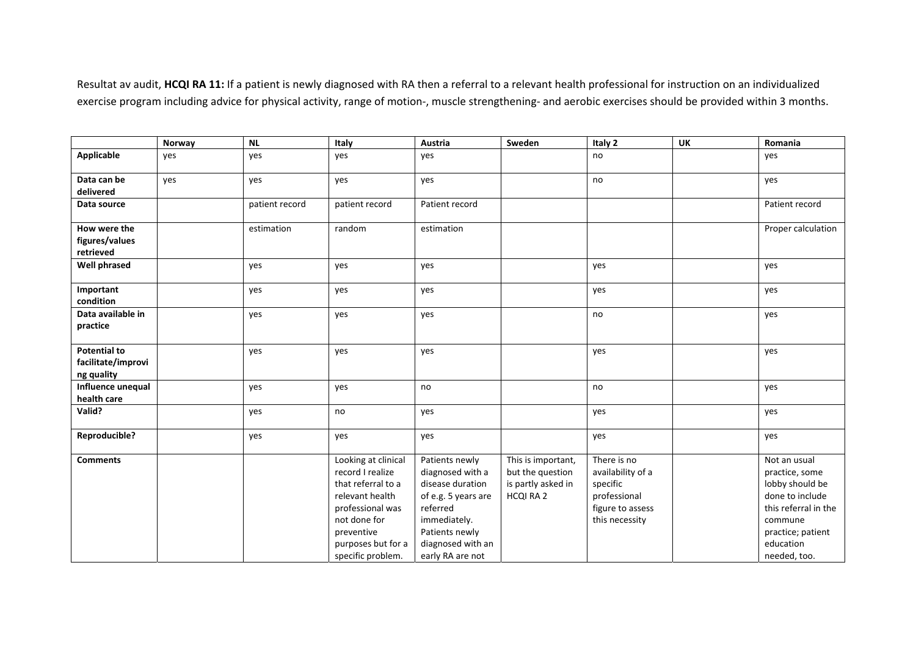Resultat av audit, **HCQI RA 11:** If <sup>a</sup> patient is newly diagnosed with RA then <sup>a</sup> referral to <sup>a</sup> relevant health professional for instruction on an individualized exercise program including advice for physical activity, range of motion-, muscle strengthening- and aerobic exercises should be provided within 3 months.

|                                                         | Norway | NL             | Italy                                                                                                                                                                         | Austria                                                                                                                                                              | Sweden                                                                    | Italy 2                                                                                            | <b>UK</b> | Romania                                                                                                                                                   |
|---------------------------------------------------------|--------|----------------|-------------------------------------------------------------------------------------------------------------------------------------------------------------------------------|----------------------------------------------------------------------------------------------------------------------------------------------------------------------|---------------------------------------------------------------------------|----------------------------------------------------------------------------------------------------|-----------|-----------------------------------------------------------------------------------------------------------------------------------------------------------|
| <b>Applicable</b>                                       | yes    | yes            | yes                                                                                                                                                                           | yes                                                                                                                                                                  |                                                                           | no                                                                                                 |           | yes                                                                                                                                                       |
| Data can be<br>delivered                                | yes    | yes            | yes                                                                                                                                                                           | yes                                                                                                                                                                  |                                                                           | no                                                                                                 |           | yes                                                                                                                                                       |
| Data source                                             |        | patient record | patient record                                                                                                                                                                | Patient record                                                                                                                                                       |                                                                           |                                                                                                    |           | Patient record                                                                                                                                            |
| How were the<br>figures/values<br>retrieved             |        | estimation     | random                                                                                                                                                                        | estimation                                                                                                                                                           |                                                                           |                                                                                                    |           | Proper calculation                                                                                                                                        |
| <b>Well phrased</b>                                     |        | yes            | yes                                                                                                                                                                           | yes                                                                                                                                                                  |                                                                           | yes                                                                                                |           | yes                                                                                                                                                       |
| Important<br>condition                                  |        | yes            | yes                                                                                                                                                                           | yes                                                                                                                                                                  |                                                                           | yes                                                                                                |           | yes                                                                                                                                                       |
| Data available in<br>practice                           |        | yes            | yes                                                                                                                                                                           | yes                                                                                                                                                                  |                                                                           | no                                                                                                 |           | yes                                                                                                                                                       |
| <b>Potential to</b><br>facilitate/improvi<br>ng quality |        | yes            | yes                                                                                                                                                                           | yes                                                                                                                                                                  |                                                                           | yes                                                                                                |           | yes                                                                                                                                                       |
| Influence unequal<br>health care                        |        | yes            | yes                                                                                                                                                                           | no                                                                                                                                                                   |                                                                           | no                                                                                                 |           | yes                                                                                                                                                       |
| Valid?                                                  |        | yes            | no                                                                                                                                                                            | yes                                                                                                                                                                  |                                                                           | yes                                                                                                |           | yes                                                                                                                                                       |
| Reproducible?                                           |        | yes            | yes                                                                                                                                                                           | yes                                                                                                                                                                  |                                                                           | yes                                                                                                |           | yes                                                                                                                                                       |
| <b>Comments</b>                                         |        |                | Looking at clinical<br>record I realize<br>that referral to a<br>relevant health<br>professional was<br>not done for<br>preventive<br>purposes but for a<br>specific problem. | Patients newly<br>diagnosed with a<br>disease duration<br>of e.g. 5 years are<br>referred<br>immediately.<br>Patients newly<br>diagnosed with an<br>early RA are not | This is important,<br>but the question<br>is partly asked in<br>HCQI RA 2 | There is no<br>availability of a<br>specific<br>professional<br>figure to assess<br>this necessity |           | Not an usual<br>practice, some<br>lobby should be<br>done to include<br>this referral in the<br>commune<br>practice; patient<br>education<br>needed, too. |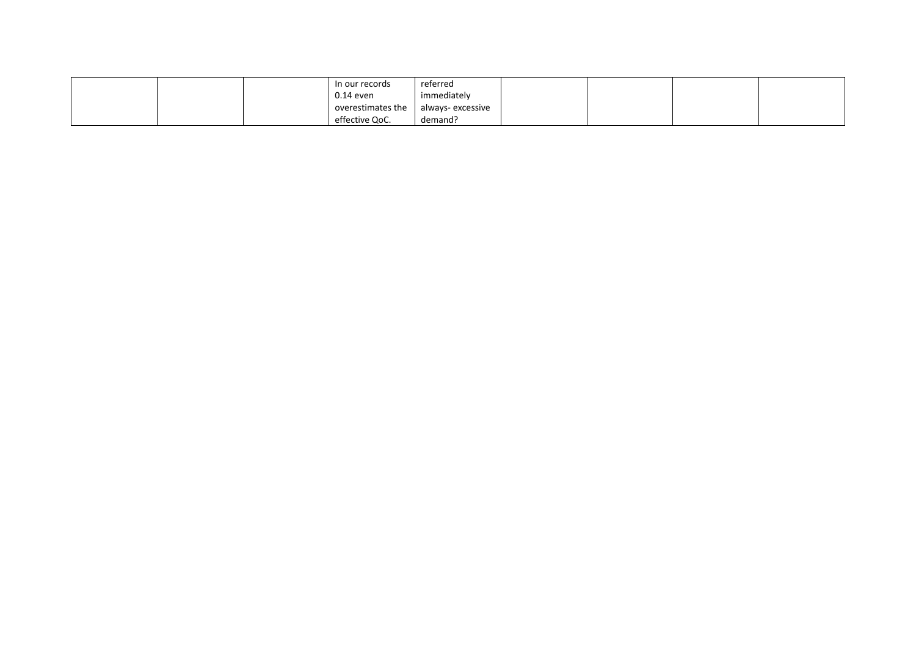|  | In our records    | referred          |  |  |
|--|-------------------|-------------------|--|--|
|  | 0.14 even         | immediately       |  |  |
|  | overestimates the | always- excessive |  |  |
|  | effective QoC.    | demand?           |  |  |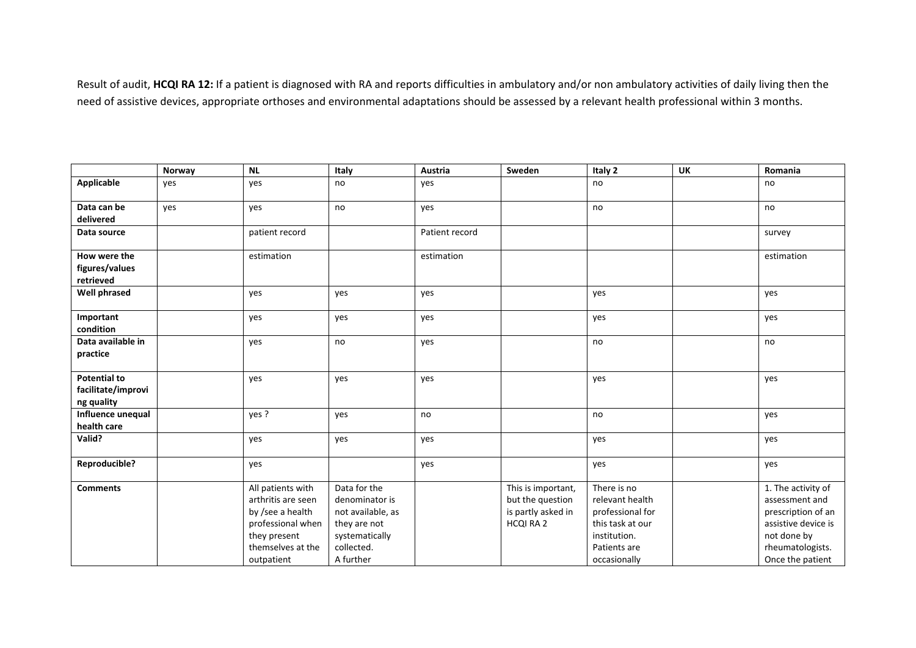Result of audit, **HCQI RA 12:** If <sup>a</sup> patient is diagnosed with RA and reports difficulties in ambulatory and/or non ambulatory activities of daily living then the need of assistive devices, appropriate orthoses and environmental adaptations should be assessed by <sup>a</sup> relevant health professional within 3 months.

|                     | Norway | <b>NL</b>          | Italy             | Austria        | Sweden             | Italy 2          | <b>UK</b> | Romania             |
|---------------------|--------|--------------------|-------------------|----------------|--------------------|------------------|-----------|---------------------|
| Applicable          | yes    | yes                | no                | yes            |                    | no               |           | no                  |
| Data can be         | yes    | yes                | no                | yes            |                    | no               |           | no                  |
| delivered           |        |                    |                   |                |                    |                  |           |                     |
| Data source         |        | patient record     |                   | Patient record |                    |                  |           | survey              |
| How were the        |        | estimation         |                   | estimation     |                    |                  |           | estimation          |
| figures/values      |        |                    |                   |                |                    |                  |           |                     |
| retrieved           |        |                    |                   |                |                    |                  |           |                     |
| <b>Well phrased</b> |        | yes                | yes               | yes            |                    | yes              |           | yes                 |
| Important           |        | yes                | yes               | yes            |                    | yes              |           | yes                 |
| condition           |        |                    |                   |                |                    |                  |           |                     |
| Data available in   |        | yes                | no                | yes            |                    | no               |           | no                  |
| practice            |        |                    |                   |                |                    |                  |           |                     |
| <b>Potential to</b> |        | yes                | yes               | yes            |                    | yes              |           | yes                 |
| facilitate/improvi  |        |                    |                   |                |                    |                  |           |                     |
| ng quality          |        |                    |                   |                |                    |                  |           |                     |
| Influence unequal   |        | yes ?              | yes               | no             |                    | no               |           | yes                 |
| health care         |        |                    |                   |                |                    |                  |           |                     |
| Valid?              |        | yes                | yes               | yes            |                    | yes              |           | yes                 |
| Reproducible?       |        | yes                |                   | yes            |                    | yes              |           | yes                 |
| <b>Comments</b>     |        | All patients with  | Data for the      |                | This is important, | There is no      |           | 1. The activity of  |
|                     |        | arthritis are seen | denominator is    |                | but the question   | relevant health  |           | assessment and      |
|                     |        | by /see a health   | not available, as |                | is partly asked in | professional for |           | prescription of an  |
|                     |        | professional when  | they are not      |                | HCQI RA 2          | this task at our |           | assistive device is |
|                     |        | they present       | systematically    |                |                    | institution.     |           | not done by         |
|                     |        | themselves at the  | collected.        |                |                    | Patients are     |           | rheumatologists.    |
|                     |        | outpatient         | A further         |                |                    | occasionally     |           | Once the patient    |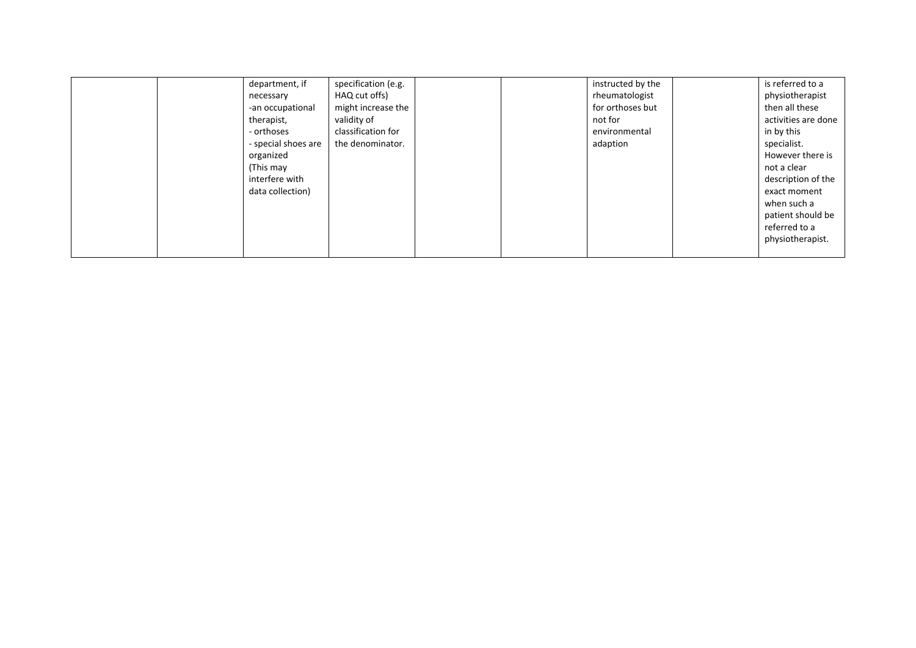|  | department, if      | specification (e.g. |  | instructed by the | is referred to a    |
|--|---------------------|---------------------|--|-------------------|---------------------|
|  | necessary           | HAQ cut offs)       |  | rheumatologist    | physiotherapist     |
|  | -an occupational    | might increase the  |  | for orthoses but  | then all these      |
|  | therapist,          | validity of         |  | not for           | activities are done |
|  | - orthoses          | classification for  |  | environmental     | in by this          |
|  | - special shoes are | the denominator.    |  | adaption          | specialist.         |
|  | organized           |                     |  |                   | However there is    |
|  | (This may           |                     |  |                   | not a clear         |
|  | interfere with      |                     |  |                   | description of the  |
|  | data collection)    |                     |  |                   | exact moment        |
|  |                     |                     |  |                   | when such a         |
|  |                     |                     |  |                   | patient should be   |
|  |                     |                     |  |                   | referred to a       |
|  |                     |                     |  |                   | physiotherapist.    |
|  |                     |                     |  |                   |                     |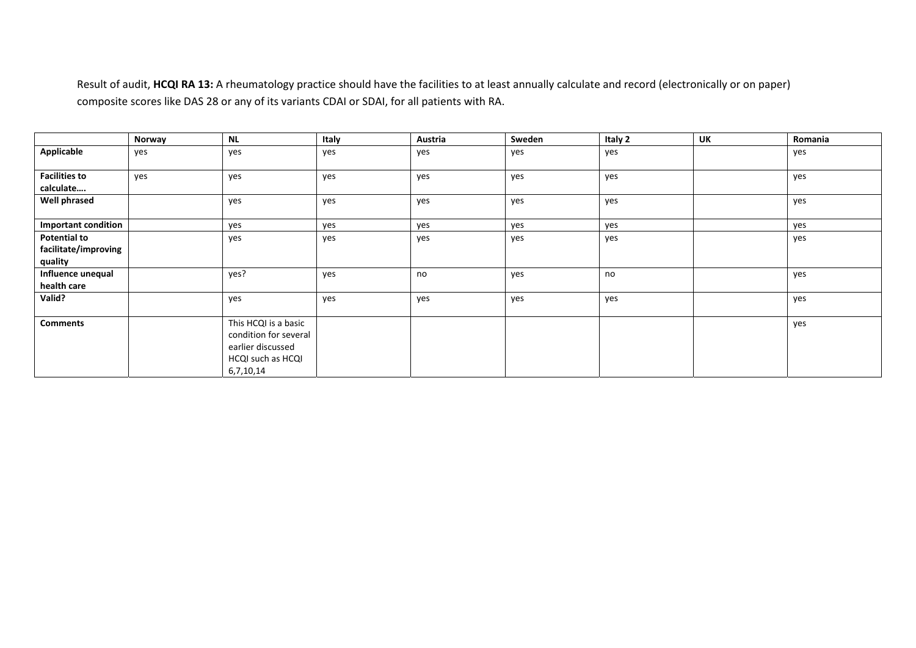Result of audit, **HCQI RA 13:** A rheumatology practice should have the facilities to at least annually calculate and record (electronically or on paper) composite scores like DAS 28 or any of its variants CDAI or SDAI, for all patients with RA.

|                                                        | Norway | <b>NL</b>                                                                                            | Italy | Austria | Sweden | Italy 2 | UK | Romania |
|--------------------------------------------------------|--------|------------------------------------------------------------------------------------------------------|-------|---------|--------|---------|----|---------|
| Applicable                                             | yes    | yes                                                                                                  | yes   | yes     | yes    | yes     |    | yes     |
| <b>Facilities to</b><br>calculate                      | yes    | yes                                                                                                  | yes   | yes     | yes    | yes     |    | yes     |
| <b>Well phrased</b>                                    |        | yes                                                                                                  | yes   | yes     | yes    | yes     |    | yes     |
| <b>Important condition</b>                             |        | yes                                                                                                  | yes   | yes     | yes    | yes     |    | yes     |
| <b>Potential to</b><br>facilitate/improving<br>quality |        | yes                                                                                                  | yes   | yes     | yes    | yes     |    | yes     |
| Influence unequal<br>health care                       |        | yes?                                                                                                 | yes   | no      | yes    | no      |    | yes     |
| Valid?                                                 |        | yes                                                                                                  | yes   | yes     | yes    | yes     |    | yes     |
| <b>Comments</b>                                        |        | This HCQI is a basic<br>condition for several<br>earlier discussed<br>HCQI such as HCQI<br>6,7,10,14 |       |         |        |         |    | yes     |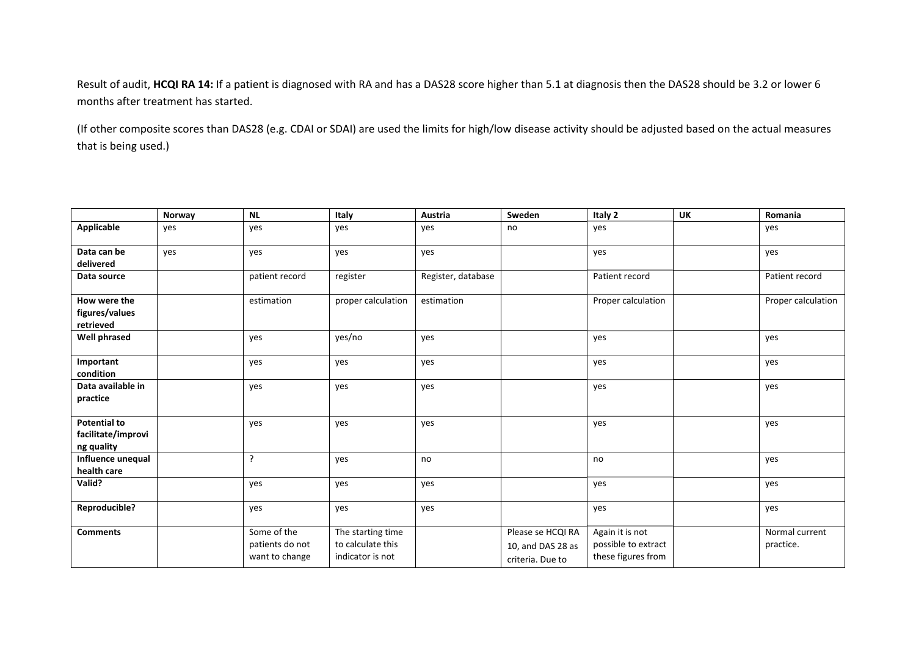Result of audit, **HCQI RA 14:** If <sup>a</sup> patient is diagnosed with RA and has <sup>a</sup> DAS28 score higher than 5.1 at diagnosis then the DAS28 should be 3.2 or lower 6 months after treatment has started.

(If other composite scores than DAS28 (e.g. CDAI or SDAI) are used the limits for high/low disease activity should be adjusted based on the actual measures that is being used.)

|                                                         | Norway | <b>NL</b>                                        | Italy                                                      | Austria            | Sweden                                                     | Italy 2                                                      | <b>UK</b> | Romania                     |
|---------------------------------------------------------|--------|--------------------------------------------------|------------------------------------------------------------|--------------------|------------------------------------------------------------|--------------------------------------------------------------|-----------|-----------------------------|
| <b>Applicable</b>                                       | yes    | yes                                              | yes                                                        | yes                | no                                                         | yes                                                          |           | yes                         |
| Data can be<br>delivered                                | yes    | yes                                              | yes                                                        | yes                |                                                            | yes                                                          |           | yes                         |
| Data source                                             |        | patient record                                   | register                                                   | Register, database |                                                            | Patient record                                               |           | Patient record              |
| How were the<br>figures/values<br>retrieved             |        | estimation                                       | proper calculation                                         | estimation         |                                                            | Proper calculation                                           |           | Proper calculation          |
| <b>Well phrased</b>                                     |        | yes                                              | yes/no                                                     | yes                |                                                            | yes                                                          |           | yes                         |
| Important<br>condition                                  |        | yes                                              | yes                                                        | yes                |                                                            | yes                                                          |           | yes                         |
| Data available in<br>practice                           |        | yes                                              | yes                                                        | yes                |                                                            | yes                                                          |           | yes                         |
| <b>Potential to</b><br>facilitate/improvi<br>ng quality |        | yes                                              | yes                                                        | yes                |                                                            | yes                                                          |           | yes                         |
| Influence unequal<br>health care                        |        | ?                                                | yes                                                        | no                 |                                                            | no                                                           |           | yes                         |
| Valid?                                                  |        | yes                                              | yes                                                        | yes                |                                                            | yes                                                          |           | yes                         |
| <b>Reproducible?</b>                                    |        | yes                                              | yes                                                        | yes                |                                                            | yes                                                          |           | yes                         |
| <b>Comments</b>                                         |        | Some of the<br>patients do not<br>want to change | The starting time<br>to calculate this<br>indicator is not |                    | Please se HCQI RA<br>10, and DAS 28 as<br>criteria. Due to | Again it is not<br>possible to extract<br>these figures from |           | Normal current<br>practice. |